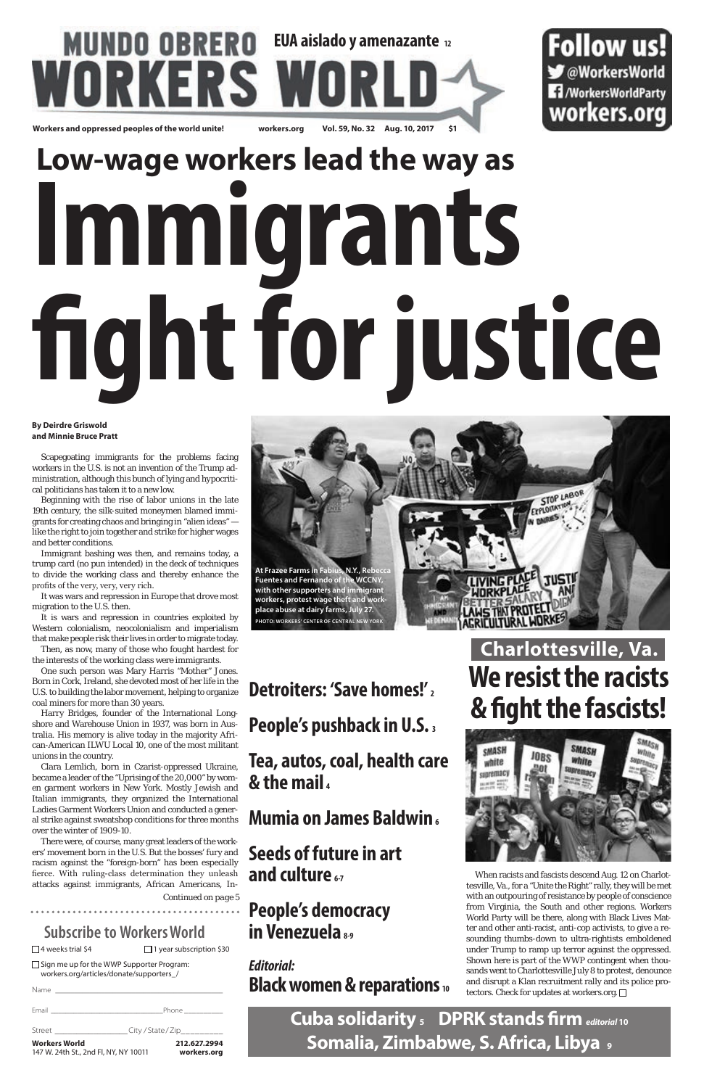**Cuba solidarity 5 DPRK stands firm** *editorial***<sup>10</sup> Somalia, Zimbabwe, S. Africa, Libya 9**

### **Subscribe to Workers World**

□4 weeks trial \$4 □ 1 year subscription \$30

# **MUNDO OBRERO** EUA aislado y amenazante 12 RS V **Workers and oppressed peoples of the world unite! workers.org Vol. 59, No. 32 Aug. 10, 2017 \$1**

Follow us! OWorkersWorld **1**/WorkersWorldParty workers.org

□ Sign me up for the WWP Supporter Program: workers.org/articles/donate/supporters\_/

Name

### Email \_\_\_\_\_\_\_\_\_\_\_\_\_\_\_\_\_\_\_\_\_\_\_\_\_\_\_\_\_\_Phone \_\_\_\_\_\_\_\_\_\_ Street \_\_\_\_\_\_\_\_\_\_\_\_\_\_\_\_\_\_\_\_\_\_City / State / Zip\_ **Workers World 212.627.2994** 147 W. 24th St., 2nd Fl, NY, NY 10011 **workers.org**

### **Mumia on James Baldwin**<sub>6</sub>



# **Low-wage workers lead the way as Immigrants fight for justice**

### **By Deirdre Griswold and Minnie Bruce Pratt**

Scapegoating immigrants for the problems facing workers in the U.S. is not an invention of the Trump administration, although this bunch of lying and hypocritical politicians has taken it to a new low.

Beginning with the rise of labor unions in the late 19th century, the silk-suited moneymen blamed immigrants for creating chaos and bringing in "alien ideas" like the right to join together and strike for higher wages and better conditions.

Immigrant bashing was then, and remains today, a trump card (no pun intended) in the deck of techniques to divide the working class and thereby enhance the profits of the very, very, very rich.

It was wars and repression in Europe that drove most migration to the U.S. then.

> When racists and fascists descend Aug. 12 on Charlottesville, Va., for a "Unite the Right" rally, they will be met with an outpouring of resistance by people of conscience from Virginia, the South and other regions. Workers World Party will be there, along with Black Lives Matter and other anti-racist, anti-cop activists, to give a resounding thumbs-down to ultra-rightists emboldened under Trump to ramp up terror against the oppressed. Shown here is part of the WWP contingent when thousands went to Charlottesville July 8 to protest, denounce and disrupt a Klan recruitment rally and its police protectors. Check for updates at workers.org.  $\Box$

It is wars and repression in countries exploited by Western colonialism, neocolonialism and imperialism that make people risk their lives in order to migrate today.

Then, as now, many of those who fought hardest for the interests of the working class were immigrants.

One such person was Mary Harris "Mother" Jones. Born in Cork, Ireland, she devoted most of her life in the U.S. to building the labor movement, helping to organize coal miners for more than 30 years.

Harry Bridges, founder of the International Longshore and Warehouse Union in 1937, was born in Australia. His memory is alive today in the majority African-American ILWU Local 10, one of the most militant unions in the country.

Clara Lemlich, born in Czarist-oppressed Ukraine, became a leader of the "Uprising of the 20,000" by women garment workers in New York. Mostly Jewish and Italian immigrants, they organized the International Ladies Garment Workers Union and conducted a general strike against sweatshop conditions for three months over the winter of 1909-10.

There were, of course, many great leaders of the workers' movement born in the U.S. But the bosses' fury and racism against the "foreign-born" has been especially fierce. With ruling-class determination they unleash attacks against immigrants, African Americans, In-

.....................................

*Continued on page 5*

**Detroiters: 'Save homes!' <sup>2</sup>**

**People's pushback in U.S. 3**

**Tea, autos, coal, health care & the mail <sup>4</sup>**

### **Seeds of future in art and culture 6-7**

### **People's democracy in Venezuela 8-9**

### *Editorial:* **Black women & reparations <sup>10</sup>**

# **Charlottesville, Va. We resist the racists & fight the fascists!**

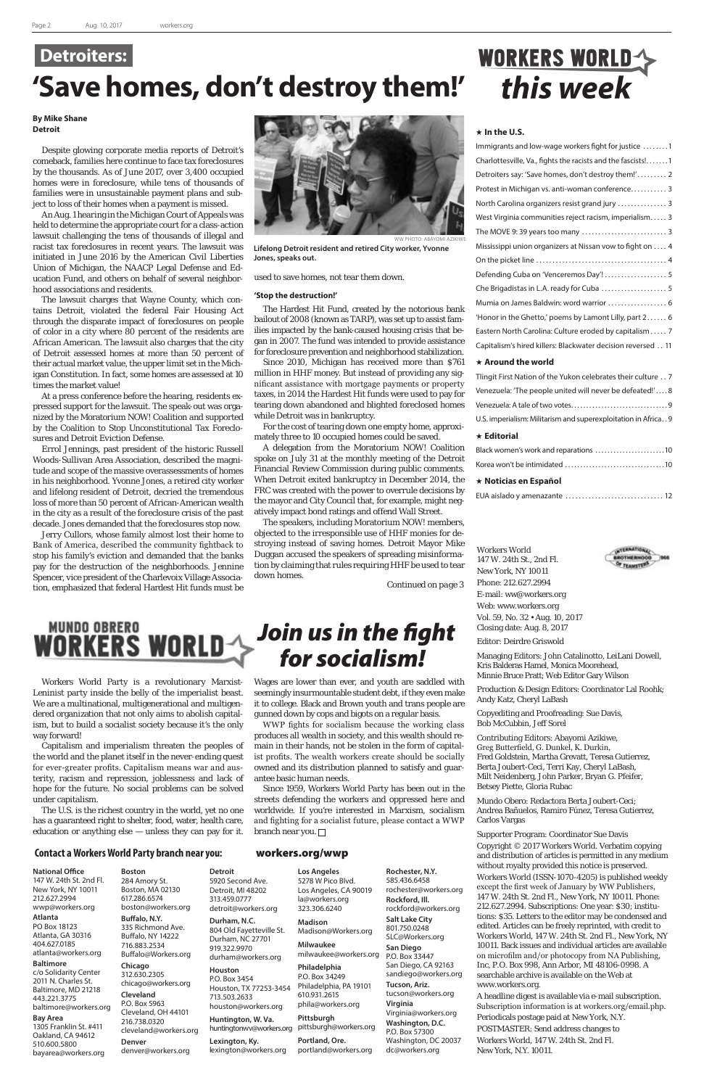### **In the U.S.**

| Immigrants and low-wage workers fight for justice 1         |
|-------------------------------------------------------------|
| Charlottesville, Va., fights the racists and the fascists!1 |
| Detroiters say: 'Save homes, don't destroy them!' 2         |
| Protest in Michigan vs. anti-woman conference 3             |
| North Carolina organizers resist grand jury  3              |
| West Virginia communities reject racism, imperialism 3      |
|                                                             |
| Mississippi union organizers at Nissan vow to fight on  4   |
|                                                             |
| Defending Cuba on 'Venceremos Day'!  5                      |
| Che Brigadistas in L.A. ready for Cuba  5                   |
| Mumia on James Baldwin: word warrior  6                     |
| 'Honor in the Ghetto,' poems by Lamont Lilly, part 2 6      |
| Eastern North Carolina: Culture eroded by capitalism 7      |
| Capitalism's hired killers: Blackwater decision reversed 11 |
|                                                             |

### **Around the world**

| $\star$ Editorial                                              |
|----------------------------------------------------------------|
| U.S. imperialism: Militarism and superexploitation in Africa 9 |
|                                                                |
| Venezuela: 'The people united will never be defeated!'8        |
| Tlingit First Nation of the Yukon celebrates their culture 7   |

| Black women's work and reparations 10 |
|---------------------------------------|
|                                       |

EUA aislado y amenazante . . 12

Workers World 147 W. 24th St., 2nd Fl. New York, NY 10011 Phone: 212.627.2994 E-mail: ww@workers.org Web: www.workers.org Vol. 59, No. 32 • Aug. 10, 2017 Closing date: Aug. 8, 2017

Editor: Deirdre Griswold

Managing Editors: John Catalinotto, LeiLani Dowell, Kris Balderas Hamel, Monica Moorehead, Minnie Bruce Pratt; Web Editor Gary Wilson

Production & Design Editors: Coordinator Lal Roohk; Andy Katz, Cheryl LaBash

Copyediting and Proofreading: Sue Davis, Bob McCubbin, Jeff Sorel

Contributing Editors: Abayomi Azikiwe, Greg Butterfield, G. Dunkel, K. Durkin, Fred Goldstein, Martha Grevatt, Teresa Gutierrez, Berta Joubert-Ceci, Terri Kay, Cheryl LaBash, Milt Neidenberg, John Parker, Bryan G. Pfeifer, Betsey Piette, Gloria Rubac



Mundo Obero: Redactora Berta Joubert-Ceci; Andrea Bañuelos, Ramiro Fúnez, Teresa Gutierrez, Carlos Vargas

### Supporter Program: Coordinator Sue Davis

Copyright © 2017 Workers World. Verbatim copying and distribution of articles is permitted in any medium without royalty provided this notice is preserved. Workers World (ISSN-1070-4205) is published weekly except the first week of January by WW Publishers, 147 W. 24th St. 2nd Fl., New York, NY 10011. Phone: 212.627.2994. Subscriptions: One year: \$30; institutions: \$35. Letters to the editor may be condensed and edited. Articles can be freely reprinted, with credit to Workers World, 147 W. 24th St. 2nd Fl., New York, NY 10011. Back issues and individual articles are available on microfilm and/or photocopy from NA Publishing, Inc, P.O. Box 998, Ann Arbor, MI 48106-0998. A searchable archive is available on the Web at www.workers.org.

A headline digest is available via e-mail subscription. Subscription information is at workers.org/email.php.

Periodicals postage paid at New York, N.Y.

POSTMASTER: Send address changes to Workers World, 147 W. 24th St. 2nd Fl. New York, N.Y. 10011.

### **Contact a Workers World Party branch near you:** workers.org/wwp

#### **National Office**

147 W. 24th St. 2nd Fl. New York, NY 10011 212.627.2994 wwp@workers.org

#### **Atlanta**

PO Box 18123 Atlanta, GA 30316 404.627.0185 atlanta@workers.org

#### **Baltimore**

c/o Solidarity Center 2011 N. Charles St. Baltimore, MD 21218 443.221.3775 baltimore@workers.org

#### **Bay Area**

1305 Franklin St. #411 Oakland, CA 94612 510.600.5800 bayarea@workers.org

**Boston** 284 Amory St. Boston, MA 02130 617.286.6574 boston@workers.org

### **Buffalo, N.Y.**

335 Richmond Ave. Buffalo, NY 14222 716.883.2534 Buffalo@Workers.org

### **Chicago**

312.630.2305 chicago@workers.org **Cleveland** P.O. Box 5963 Cleveland, OH 44101 216.738.0320 cleveland@workers.org **Denver**

denver@workers.org

**Detroit**

919.322.9970

**Houston** P.O. Box 3454

713.503.2633

5920 Second Ave. Detroit, MI 48202 313.459.0777 detroit@workers.org **Durham, N.C.** 804 Old Fayetteville St. Durham, NC 27701 **Los Angeles** 5278 W Pico Blvd. Los Angeles, CA 90019 la@workers.org 323.306.6240 **Madison** Madison@Workers.org

**Lexington, Ky.** lexington@workers.org

durham@workers.org **Milwaukee** milwaukee@workers.org

Houston, TX 77253-3454 houston@workers.org **Huntington, W. Va. Philadelphia**  P.O. Box 34249 Philadelphia, PA 19101 610.931.2615 phila@workers.org

huntingtonwv@workers.org **Pittsburgh** pittsburgh@workers.org

> **Portland, Ore.** portland@workers.org

**Rochester, N.Y.** 585.436.6458 rochester@workers.org **Rockford, Ill.** rockford@workers.org **Salt Lake City** 801.750.0248 SLC@Workers.org **San Diego** P.O. Box 33447 San Diego, CA 92163 sandiego@workers.org **Tucson, Ariz.** tucson@workers.org **Virginia**  Virginia@workers.org **Washington, D.C.** P.O. Box 57300 Washington, DC 20037

dc@workers.org

### *Join us in the fight for socialism!*

Workers World Party is a revolutionary Marxist-Leninist party inside the belly of the imperialist beast. We are a multinational, multigenerational and multigendered organization that not only aims to abolish capitalism, but to build a socialist society because it's the only way forward!

Capitalism and imperialism threaten the peoples of the world and the planet itself in the never-ending quest for ever-greater profits. Capitalism means war and austerity, racism and repression, joblessness and lack of hope for the future. No social problems can be solved under capitalism.

The U.S. is the richest country in the world, yet no one has a guaranteed right to shelter, food, water, health care, education or anything else — unless they can pay for it. Wages are lower than ever, and youth are saddled with seemingly insurmountable student debt, if they even make it to college. Black and Brown youth and trans people are gunned down by cops and bigots on a regular basis.

WWP fights for socialism because the working class produces all wealth in society, and this wealth should remain in their hands, not be stolen in the form of capitalist profits. The wealth workers create should be socially owned and its distribution planned to satisfy and guarantee basic human needs.

Since 1959, Workers World Party has been out in the streets defending the workers and oppressed here and worldwide. If you're interested in Marxism, socialism and fighting for a socialist future, please contact a WWP branch near you.

# WORKERS WORLD

## **Detroiters: 'Save homes, don't destroy them!'**

### **By Mike Shane Detroit**

Despite glowing corporate media reports of Detroit's comeback, families here continue to face tax foreclosures by the thousands. As of June 2017, over 3,400 occupied homes were in foreclosure, while tens of thousands of families were in unsustainable payment plans and subject to loss of their homes when a payment is missed.

An Aug. 1 hearing in the Michigan Court of Appeals was held to determine the appropriate court for a class-action lawsuit challenging the tens of thousands of illegal and racist tax foreclosures in recent years. The lawsuit was initiated in June 2016 by the American Civil Liberties Union of Michigan, the NAACP Legal Defense and Education Fund, and others on behalf of several neighborhood associations and residents.

The lawsuit charges that Wayne County, which contains Detroit, violated the federal Fair Housing Act through the disparate impact of foreclosures on people of color in a city where 80 percent of the residents are African American. The lawsuit also charges that the city of Detroit assessed homes at more than 50 percent of their actual market value, the upper limit set in the Michigan Constitution. In fact, some homes are assessed at 10 times the market value!

At a press conference before the hearing, residents expressed support for the lawsuit. The speak-out was organized by the Moratorium NOW! Coalition and supported by the Coalition to Stop Unconstitutional Tax Foreclosures and Detroit Eviction Defense.

Errol Jennings, past president of the historic Russell Woods-Sullivan Area Association, described the magnitude and scope of the massive overassessments of homes in his neighborhood. Yvonne Jones, a retired city worker and lifelong resident of Detroit, decried the tremendous loss of more than 50 percent of African-American wealth in the city as a result of the foreclosure crisis of the past decade. Jones demanded that the foreclosures stop now.

Jerry Cullors, whose family almost lost their home to Bank of America, described the community fightback to stop his family's eviction and demanded that the banks pay for the destruction of the neighborhoods. Jennine Spencer, vice president of the Charlevoix Village Association, emphasized that federal Hardest Hit funds must be used to save homes, not tear them down.

### **'Stop the destruction!'**

The Hardest Hit Fund, created by the notorious bank bailout of 2008 (known as TARP), was set up to assist families impacted by the bank-caused housing crisis that began in 2007. The fund was intended to provide assistance for foreclosure prevention and neighborhood stabilization.

Since 2010, Michigan has received more than \$761 million in HHF money. But instead of providing any significant assistance with mortgage payments or property taxes, in 2014 the Hardest Hit funds were used to pay for tearing down abandoned and blighted foreclosed homes while Detroit was in bankruptcy.

For the cost of tearing down one empty home, approximately three to 10 occupied homes could be saved.

A delegation from the Moratorium NOW! Coalition spoke on July 31 at the monthly meeting of the Detroit Financial Review Commission during public comments. When Detroit exited bankruptcy in December 2014, the FRC was created with the power to overrule decisions by the mayor and City Council that, for example, might negatively impact bond ratings and offend Wall Street.

The speakers, including Moratorium NOW! members, objected to the irresponsible use of HHF monies for destroying instead of saving homes. Detroit Mayor Mike Duggan accused the speakers of spreading misinformation by claiming that rules requiring HHF be used to tear down homes.



**Lifelong Detroit resident and retired City worker, Yvonne Jones, speaks out.**

*Continued on page 3*

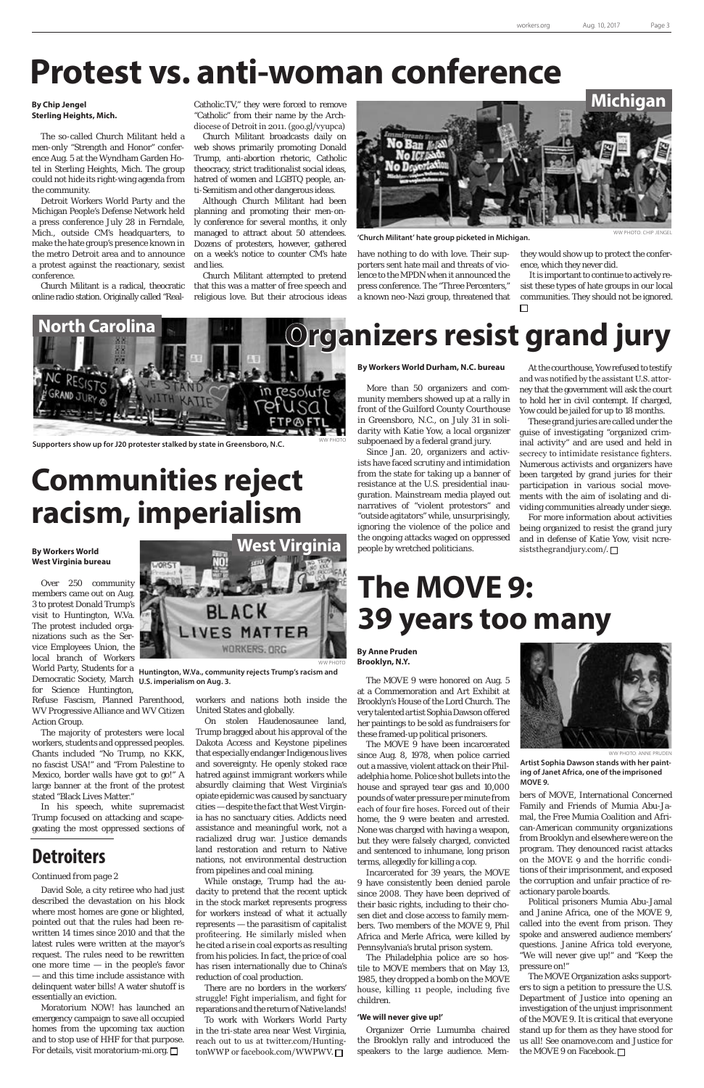David Sole, a city retiree who had just described the devastation on his block where most homes are gone or blighted, pointed out that the rules had been rewritten 14 times since 2010 and that the latest rules were written at the mayor's request. The rules need to be rewritten one more time — in the people's favor — and this time include assistance with delinquent water bills! A water shutoff is essentially an eviction.

Moratorium NOW! has launched an emergency campaign to save all occupied homes from the upcoming tax auction and to stop use of HHF for that purpose. For details, visit moratorium-mi.org.

# **Protest vs. anti-woman conference**

### **By Chip Jengel Sterling Heights, Mich.**

The so-called Church Militant held a men-only "Strength and Honor" conference Aug. 5 at the Wyndham Garden Hotel in Sterling Heights, Mich. The group could not hide its right-wing agenda from the community.

Detroit Workers World Party and the Michigan People's Defense Network held a press conference July 28 in Ferndale, Mich., outside CM's headquarters, to make the hate group's presence known in the metro Detroit area and to announce a protest against the reactionary, sexist conference.

Church Militant is a radical, theocratic online radio station. Originally called "RealCatholic.TV," they were forced to remove "Catholic" from their name by the Archdiocese of Detroit in 2011. (goo.gl/vyupca)

Church Militant broadcasts daily on web shows primarily promoting Donald Trump, anti-abortion rhetoric, Catholic theocracy, strict traditionalist social ideas, hatred of women and LGBTQ people, anti-Semitism and other dangerous ideas.

Although Church Militant had been planning and promoting their men-only conference for several months, it only managed to attract about 50 attendees. Dozens of protesters, however, gathered on a week's notice to counter CM's hate and lies.

> For more information about activities being organized to resist the grand jury and in defense of Katie Yow, visit ncresiststhegrandjury.com/.  $\Box$

Church Militant attempted to pretend that this was a matter of free speech and religious love. But their atrocious ideas have nothing to do with love. Their supporters sent hate mail and threats of violence to the MPDN when it announced the press conference. The "Three Percenters," a known neo-Nazi group, threatened that

**By Workers World Durham, N.C. bureau**

More than 50 organizers and community members showed up at a rally in front of the Guilford County Courthouse in Greensboro, N.C., on July 31 in solidarity with Katie Yow, a local organizer subpoenaed by a federal grand jury.

Since Jan. 20, organizers and activists have faced scrutiny and intimidation from the state for taking up a banner of resistance at the U.S. presidential inauguration. Mainstream media played out narratives of "violent protestors" and "outside agitators" while, unsurprisingly, ignoring the violence of the police and the ongoing attacks waged on oppressed people by wretched politicians.

At the courthouse, Yow refused to testify and was notified by the assistant U.S. attorney that the government will ask the court to hold her in civil contempt. If charged, Yow could be jailed for up to 18 months.



'Church Militant' hate group picketed in Michigan.

These grand juries are called under the guise of investigating "organized criminal activity" and are used and held in secrecy to intimidate resistance fighters. Numerous activists and organizers have been targeted by grand juries for their participation in various social movements with the aim of isolating and dividing communities already under siege.

# **Communities reject racism, imperialism**

### *Continued from page 2*

# **The MOVE 9: 39 years too many**

**By Anne Pruden Brooklyn, N.Y.**

The MOVE 9 were honored on Aug. 5 at a Commemoration and Art Exhibit at Brooklyn's House of the Lord Church. The very talented artist Sophia Dawson offered her paintings to be sold as fundraisers for these framed-up political prisoners.

The MOVE 9 have been incarcerated since Aug. 8, 1978, when police carried out a massive, violent attack on their Philadelphia home. Police shot bullets into the house and sprayed tear gas and 10,000 pounds of water pressure per minute from each of four fire hoses. Forced out of their home, the 9 were beaten and arrested. None was charged with having a weapon, but they were falsely charged, convicted and sentenced to inhumane, long prison terms, allegedly for killing a cop. Incarcerated for 39 years, the MOVE 9 have consistently been denied parole since 2008. They have been deprived of their basic rights, including to their chosen diet and close access to family members. Two members of the MOVE 9, Phil Africa and Merle Africa, were killed by Pennsylvania's brutal prison system. The Philadelphia police are so hostile to MOVE members that on May 13, 1985, they dropped a bomb on the MOVE house, killing 11 people, including five children.

#### **'We will never give up!'**

Organizer Orrie Lumumba chaired the Brooklyn rally and introduced the speakers to the large audience. Members of MOVE, International Concerned

Family and Friends of Mumia Abu-Jamal, the Free Mumia Coalition and African-American community organizations from Brooklyn and elsewhere were on the program. They denounced racist attacks on the MOVE 9 and the horrific conditions of their imprisonment, and exposed the corruption and unfair practice of reactionary parole boards.

Political prisoners Mumia Abu-Jamal and Janine Africa, one of the MOVE 9, called into the event from prison. They spoke and answered audience members' questions. Janine Africa told everyone, "We will never give up!" and "Keep the pressure on!"

The MOVE Organization asks supporters to sign a petition to pressure the U.S. Department of Justice into opening an investigation of the unjust imprisonment of the MOVE 9. It is critical that everyone stand up for them as they have stood for us all! See onamove.com and Justice for the MOVE 9 on Facebook.

they would show up to protect the conference, which they never did.

It is important to continue to actively resist these types of hate groups in our local communities. They should not be ignored.



Supporters show up for J20 protester stalked by state in Greensboro, N.C.

### **By Workers World West Virginia bureau**

Over 250 community members came out on Aug. 3 to protest Donald Trump's visit to Huntington, W.Va. The protest included organizations such as the Service Employees Union, the local branch of Workers Democratic Society, March **U.S. imperialism on Aug. 3.** for Science Huntington,

Refuse Fascism, Planned Parenthood, WV Progressive Alliance and WV Citizen Action Group.

The majority of protesters were local workers, students and oppressed peoples. Chants included "No Trump, no KKK, no fascist USA!" and "From Palestine to Mexico, border walls have got to go!" A large banner at the front of the protest stated "Black Lives Matter."

In his speech, white supremacist Trump focused on attacking and scapegoating the most oppressed sections of workers and nations both inside the United States and globally.

On stolen Haudenosaunee land, Trump bragged about his approval of the Dakota Access and Keystone pipelines that especially endanger Indigenous lives and sovereignty. He openly stoked race hatred against immigrant workers while absurdly claiming that West Virginia's opiate epidemic was caused by sanctuary cities — despite the fact that West Virginia has no sanctuary cities. Addicts need assistance and meaningful work, not a racialized drug war. Justice demands land restoration and return to Native nations, not environmental destruction from pipelines and coal mining. While onstage, Trump had the audacity to pretend that the recent uptick in the stock market represents progress for workers instead of what it actually represents — the parasitism of capitalist profiteering. He similarly misled when he cited a rise in coal exports as resulting from his policies. In fact, the price of coal has risen internationally due to China's reduction of coal production. There are no borders in the workers' struggle! Fight imperialism, and fight for reparations and the return of Native lands! To work with Workers World Party in the tri-state area near West Virginia, reach out to us at twitter.com/HuntingtonWWP or facebook.com/WWPWV.

# **North Carolina <b>Developed Leap Corganizers resist grand jury**

### **Detroiters**



WW PHOTO: ANNE PRUDEN

**Artist Sophia Dawson stands with her painting of Janet Africa, one of the imprisoned MOVE 9.**



**Huntington, W.Va., community rejects Trump's racism and**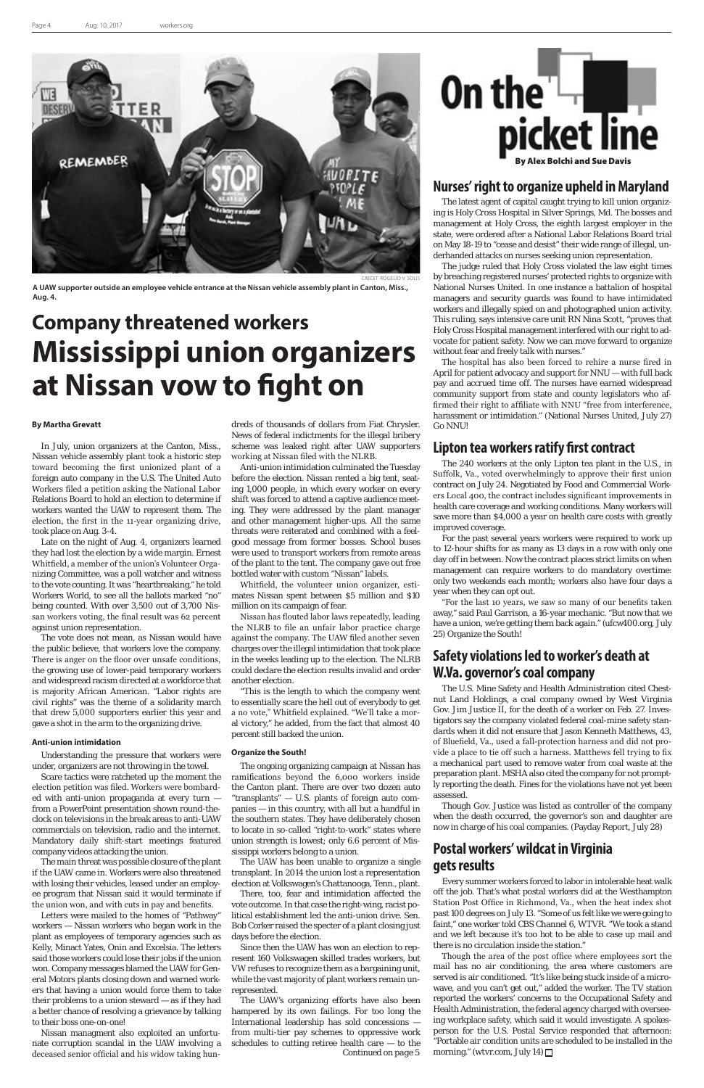### **By Martha Grevatt**

In July, union organizers at the Canton, Miss., Nissan vehicle assembly plant took a historic step toward becoming the first unionized plant of a foreign auto company in the U.S. The United Auto Workers filed a petition asking the National Labor Relations Board to hold an election to determine if workers wanted the UAW to represent them. The election, the first in the 11-year organizing drive, took place on Aug. 3-4.

Late on the night of Aug. 4, organizers learned they had lost the election by a wide margin. Ernest Whitfield, a member of the union's Volunteer Organizing Committee, was a poll watcher and witness to the vote counting. It was "heartbreaking," he told Workers World, to see all the ballots marked "no" being counted. With over 3,500 out of 3,700 Nissan workers voting, the final result was 62 percent against union representation.

The vote does not mean, as Nissan would have the public believe, that workers love the company. There is anger on the floor over unsafe conditions, the growing use of lower-paid temporary workers and widespread racism directed at a workforce that is majority African American. "Labor rights are civil rights" was the theme of a solidarity march that drew 5,000 supporters earlier this year and gave a shot in the arm to the organizing drive.

#### **Anti-union intimidation**

Understanding the pressure that workers were under, organizers are not throwing in the towel.

Scare tactics were ratcheted up the moment the election petition was filed. Workers were bombarded with anti-union propaganda at every turn from a PowerPoint presentation shown round-theclock on televisions in the break areas to anti-UAW commercials on television, radio and the internet. Mandatory daily shift-start meetings featured company videos attacking the union.

The main threat was possible closure of the plant if the UAW came in. Workers were also threatened with losing their vehicles, leased under an employee program that Nissan said it would terminate if the union won, and with cuts in pay and benefits.

Letters were mailed to the homes of "Pathway" workers — Nissan workers who began work in the plant as employees of temporary agencies such as Kelly, Minact Yates, Onin and Excelsia. The letters said those workers could lose their jobs if the union won. Company messages blamed the UAW for General Motors plants closing down and warned workers that having a union would force them to take their problems to a union steward — as if they had a better chance of resolving a grievance by talking to their boss one-on-one!

Nissan managment also exploited an unfortunate corruption scandal in the UAW involving a deceased senior official and his widow taking hundreds of thousands of dollars from Fiat Chrysler. News of federal indictments for the illegal bribery scheme was leaked right after UAW supporters working at Nissan filed with the NLRB.

Anti-union intimidation culminated the Tuesday before the election. Nissan rented a big tent, seating 1,000 people, in which every worker on every shift was forced to attend a captive audience meeting. They were addressed by the plant manager and other management higher-ups. All the same threats were reiterated and combined with a feelgood message from former bosses. School buses were used to transport workers from remote areas of the plant to the tent. The company gave out free bottled water with custom "Nissan" labels.

Whitfield, the volunteer union organizer, estimates Nissan spent between \$5 million and \$10 million on its campaign of fear.

Nissan has flouted labor laws repeatedly, leading the NLRB to file an unfair labor practice charge against the company. The UAW filed another seven charges over the illegal intimidation that took place in the weeks leading up to the election. The NLRB could declare the election results invalid and order another election.

"This is the length to which the company went to essentially scare the hell out of everybody to get a no vote," Whitfield explained. "We'll take a moral victory," he added, from the fact that almost 40 percent still backed the union.

#### **Organize the South!**

Though the area of the post office where employees sort the mail has no air conditioning, the area where customers are served is air conditioned. "It's like being stuck inside of a microwave, and you can't get out," added the worker. The TV station reported the workers' concerns to the Occupational Safety and Health Administration, the federal agency charged with overseeing workplace safety, which said it would investigate. A spokesperson for the U.S. Postal Service responded that afternoon: "Portable air condition units are scheduled to be installed in the morning." (wtvr.com, July 14)  $\Box$ 

The ongoing organizing campaign at Nissan has ramifications beyond the 6,000 workers inside the Canton plant. There are over two dozen auto transplants" - U.S. plants of foreign auto companies — in this country, with all but a handful in the southern states. They have deliberately chosen to locate in so-called "right-to-work" states where union strength is lowest; only 6.6 percent of Mississippi workers belong to a union. The UAW has been unable to organize a single transplant. In 2014 the union lost a representation election at Volkswagen's Chattanooga, Tenn., plant. There, too, fear and intimidation affected the vote outcome. In that case the right-wing, racist political establishment led the anti-union drive. Sen. Bob Corker raised the specter of a plant closing just days before the election.

Since then the UAW has won an election to represent 160 Volkswagen skilled trades workers, but VW refuses to recognize them as a bargaining unit, while the vast majority of plant workers remain unrepresented.

### **Nurses' right to organize upheld in Maryland**

The latest agent of capital caught trying to kill union organizing is Holy Cross Hospital in Silver Springs, Md. The bosses and management at Holy Cross, the eighth largest employer in the state, were ordered after a National Labor Relations Board trial on May 18-19 to "cease and desist" their wide range of illegal, underhanded attacks on nurses seeking union representation.

The judge ruled that Holy Cross violated the law eight times by breaching registered nurses' protected rights to organize with National Nurses United. In one instance a battalion of hospital managers and security guards was found to have intimidated workers and illegally spied on and photographed union activity. This ruling, says intensive care unit RN Nina Scott, "proves that Holy Cross Hospital management interfered with our right to advocate for patient safety. Now we can move forward to organize without fear and freely talk with nurses."

The hospital has also been forced to rehire a nurse fired in April for patient advocacy and support for NNU — with full back pay and accrued time off. The nurses have earned widespread community support from state and county legislators who affirmed their right to affiliate with NNU "free from interference, harassment or intimidation." (National Nurses United, July 27) Go NNU!

### **Lipton tea workers ratify first contract**

The 240 workers at the only Lipton tea plant in the U.S., in Suffolk, Va., voted overwhelmingly to approve their first union contract on July 24. Negotiated by Food and Commercial Workers Local 400, the contract includes significant improvements in health care coverage and working conditions. Many workers will save more than \$4,000 a year on health care costs with greatly improved coverage.

For the past several years workers were required to work up to 12-hour shifts for as many as 13 days in a row with only one day off in between. Now the contract places strict limits on when management can require workers to do mandatory overtime: only two weekends each month; workers also have four days a year when they can opt out.

The UAW's organizing efforts have also been hampered by its own failings. For too long the International leadership has sold concessions from multi-tier pay schemes to oppressive work schedules to cutting retiree health care — to the *Continued on page 5*

"For the last 10 years, we saw so many of our benefits taken away," said Paul Garrison, a 16-year mechanic. "But now that we have a union, we're getting them back again." (ufcw400.org, July 25) Organize the South!

### **Safety violations led to worker's death at W.Va. governor's coal company**

The U.S. Mine Safety and Health Administration cited Chestnut Land Holdings, a coal company owned by West Virginia Gov. Jim Justice II, for the death of a worker on Feb. 27. Investigators say the company violated federal coal-mine safety standards when it did not ensure that Jason Kenneth Matthews, 43, of Bluefield, Va., used a fall-protection harness and did not provide a place to tie off such a harness. Matthews fell trying to fix a mechanical part used to remove water from coal waste at the preparation plant. MSHA also cited the company for not promptly reporting the death. Fines for the violations have not yet been assessed.

Though Gov. Justice was listed as controller of the company when the death occurred, the governor's son and daughter are now in charge of his coal companies. (Payday Report, July 28)

### **Postal workers' wildcat in Virginia gets results**

Every summer workers forced to labor in intolerable heat walk off the job. That's what postal workers did at the Westhampton Station Post Office in Richmond, Va., when the heat index shot past 100 degrees on July 13. "Some of us felt like we were going to faint," one worker told CBS Channel 6, WTVR. "We took a stand and we left because it's too hot to be able to case up mail and there is no circulation inside the station."

# **Company threatened workers Mississippi union organizers at Nissan vow to fight on**





**A UAW supporter outside an employee vehicle entrance at the Nissan vehicle assembly plant in Canton, Miss., Aug. 4.**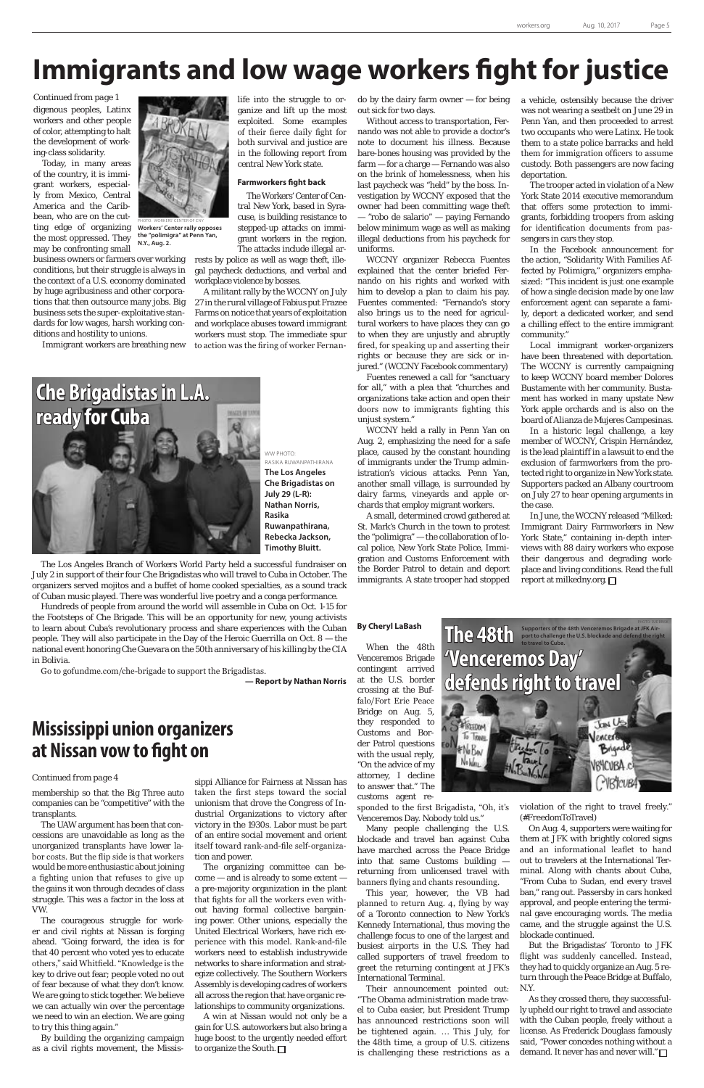### **By Cheryl LaBash**

When the 48th Venceremos Brigade contingent arrived at the U.S. border crossing at the Buffalo/Fort Erie Peace Bridge on Aug. 5, they responded to **WIRELDOM** Customs and Bor-To TRIVEL der Patrol questions #NoBw with the usual reply, No hue "On the advice of my attorney, I decline to answer that." The customs agent re sponded to the first Brigadista, "Oh, it's Venceremos Day. Nobody told us." Many people challenging the U.S. blockade and travel ban against Cuba have marched across the Peace Bridge into that same Customs building returning from unlicensed travel with banners flying and chants resounding. This year, however, the VB had planned to return Aug. 4, flying by way of a Toronto connection to New York's Kennedy International, thus moving the challenge focus to one of the largest and busiest airports in the U.S. They had called supporters of travel freedom to greet the returning contingent at JFK's International Terminal. Their announcement pointed out: "The Obama administration made travel to Cuba easier, but President Trump has announced restrictions soon will be tightened again. … This July, for the 48th time, a group of U.S. citizens is challenging these restrictions as a

The Los Angeles Branch of Workers World Party held a successful fundraiser on July 2 in support of their four Che Brigadistas who will travel to Cuba in October. The organizers served mojitos and a buffet of home cooked specialties, as a sound track of Cuban music played. There was wonderful live poetry and a conga performance.

Hundreds of people from around the world will assemble in Cuba on Oct. 1-15 for the Footsteps of Che Brigade. This will be an opportunity for new, young activists to learn about Cuba's revolutionary process and share experiences with the Cuban people. They will also participate in the Day of the Heroic Guerrilla on Oct. 8 — the national event honoring Che Guevara on the 50th anniversary of his killing by the CIA in Bolivia.

Go to gofundme.com/che-brigade to support the Brigadistas.

**— Report by Nathan Norris**

# **Immigrants and low wage workers fight for justice**



WW PHOTO: RASIKA RUWANPATHIRANA **The Los Angeles Che Brigadistas on July 29 (L-R): Nathan Norris, Rasika Ruwanpathirana, Rebecka Jackson, Timothy Bluitt.**

membership so that the Big Three auto

companies can be "competitive" with the transplants.

> As they crossed there, they successfully upheld our right to travel and associate with the Cuban people, freely without a license. As Frederick Douglass famously said, "Power concedes nothing without a demand. It never has and never will."  $\Box$

The UAW argument has been that concessions are unavoidable as long as the unorganized transplants have lower labor costs. But the flip side is that workers would be more enthusiastic about joining a fighting union that refuses to give up the gains it won through decades of class struggle. This was a factor in the loss at VW.

The courageous struggle for worker and civil rights at Nissan is forging ahead. "Going forward, the idea is for that 40 percent who voted yes to educate others," said Whitfield. "Knowledge is the key to drive out fear; people voted no out of fear because of what they don't know. We are going to stick together. We believe we can actually win over the percentage we need to win an election. We are going to try this thing again."

By building the organizing campaign as a civil rights movement, the Missis-

sippi Alliance for Fairness at Nissan has taken the first steps toward the social

unionism that drove the Congress of Industrial Organizations to victory after victory in the 1930s. Labor must be part of an entire social movement and orient itself toward rank-and-file self-organization and power.

The organizing committee can become — and is already to some extent a pre-majority organization in the plant that fights for all the workers even without having formal collective bargaining power. Other unions, especially the United Electrical Workers, have rich experience with this model. Rank-and-file workers need to establish industrywide networks to share information and strategize collectively. The Southern Workers Assembly is developing cadres of workers all across the region that have organic relationships to community organizations.

A win at Nissan would not only be a gain for U.S. autoworkers but also bring a huge boost to the urgently needed effort to organize the South.

### **Mississippi union organizers at Nissan vow to fight on**

### *Continued from page 4*

violation of the right to travel freely." (#FreedomToTravel)

On Aug. 4, supporters were waiting for them at JFK with brightly colored signs and an informational leaflet to hand out to travelers at the International Terminal. Along with chants about Cuba, "From Cuba to Sudan, end every travel ban," rang out. Passersby in cars honked approval, and people entering the terminal gave encouraging words. The media came, and the struggle against the U.S. blockade continued.

But the Brigadistas' Toronto to JFK flight was suddenly cancelled. Instead, they had to quickly organize an Aug. 5 return through the Peace Bridge at Buffalo, N.Y.

In June, the WCCNY released "Milked: Immigrant Dairy Farmworkers in New York State," containing in-depth interviews with 88 dairy workers who expose their dangerous and degrading workplace and living conditions. Read the full report at milkedny.org.  $\Box$ 



ing-class solidarity. Today, in many areas of the country, it is immigrant workers, especially from Mexico, Central America and the Caribbean, who are on the cutting edge of organizing the most oppressed. They may be confronting small

business owners or farmers over working conditions, but their struggle is always in the context of a U.S. economy dominated by huge agribusiness and other corporations that then outsource many jobs. Big business sets the super-exploitative standards for low wages, harsh working conditions and hostility to unions.

Immigrant workers are breathing new

life into the struggle to organize and lift up the most exploited. Some examples of their fierce daily fight for both survival and justice are in the following report from central New York state.

### **Farmworkers fight back**

The Workers' Center of Central New York, based in Syracuse, is building resistance to stepped-up attacks on immigrant workers in the region. The attacks include illegal ar-

rests by police as well as wage theft, illegal paycheck deductions, and verbal and workplace violence by bosses.

A militant rally by the WCCNY on July 27 in the rural village of Fabius put Frazee Farms on notice that years of exploitation and workplace abuses toward immigrant workers must stop. The immediate spur to action was the firing of worker Fernan-

do by the dairy farm owner — for being out sick for two days.

Without access to transportation, Fernando was not able to provide a doctor's note to document his illness. Because bare-bones housing was provided by the farm — for a charge — Fernando was also on the brink of homelessness, when his last paycheck was "held" by the boss. Investigation by WCCNY exposed that the owner had been committing wage theft — "robo de salario" — paying Fernando below minimum wage as well as making illegal deductions from his paycheck for uniforms.

WCCNY organizer Rebecca Fuentes explained that the center briefed Fernando on his rights and worked with him to develop a plan to claim his pay. Fuentes commented: "Fernando's story also brings us to the need for agricultural workers to have places they can go to when they are unjustly and abruptly fired, for speaking up and asserting their rights or because they are sick or injured." (WCCNY Facebook commentary)

digenous peoples, Latinx workers and other people of color, attempting to halt the development of work-*Continued from page 1*

> Fuentes renewed a call for "sanctuary for all," with a plea that "churches and organizations take action and open their doors now to immigrants fighting this unjust system."

> WCCNY held a rally in Penn Yan on Aug. 2, emphasizing the need for a safe place, caused by the constant hounding of immigrants under the Trump administration's vicious attacks. Penn Yan, another small village, is surrounded by dairy farms, vineyards and apple orchards that employ migrant workers.

> A small, determined crowd gathered at St. Mark's Church in the town to protest the "polimigra" — the collaboration of local police, New York State Police, Immigration and Customs Enforcement with the Border Patrol to detain and deport immigrants. A state trooper had stopped

a vehicle, ostensibly because the driver was not wearing a seatbelt on June 29 in Penn Yan, and then proceeded to arrest two occupants who were Latinx. He took them to a state police barracks and held them for immigration officers to assume custody. Both passengers are now facing deportation.

The trooper acted in violation of a New York State 2014 executive memorandum that offers some protection to immigrants, forbidding troopers from asking for identification documents from passengers in cars they stop.

In the Facebook announcement for the action, "Solidarity With Families Affected by Polimigra," organizers emphasized: "This incident is just one example of how a single decision made by one law enforcement agent can separate a family, deport a dedicated worker, and send a chilling effect to the entire immigrant community."

Local immigrant worker-organizers have been threatened with deportation. The WCCNY is currently campaigning to keep WCCNY board member Dolores Bustamente with her community. Bustament has worked in many upstate New York apple orchards and is also on the board of Alianza de Mujeres Campesinas.

In a historic legal challenge, a key member of WCCNY, Crispin Hernández, is the lead plaintiff in a lawsuit to end the exclusion of farmworkers from the protected right to organize in New York state. Supporters packed an Albany courtroom on July 27 to hear opening arguments in the case.

PHOTO: WORKERS' CENTER OF CNY



**Workers' Center rally opposes the "polimigra" at Penn Yan, N.Y., Aug. 2.**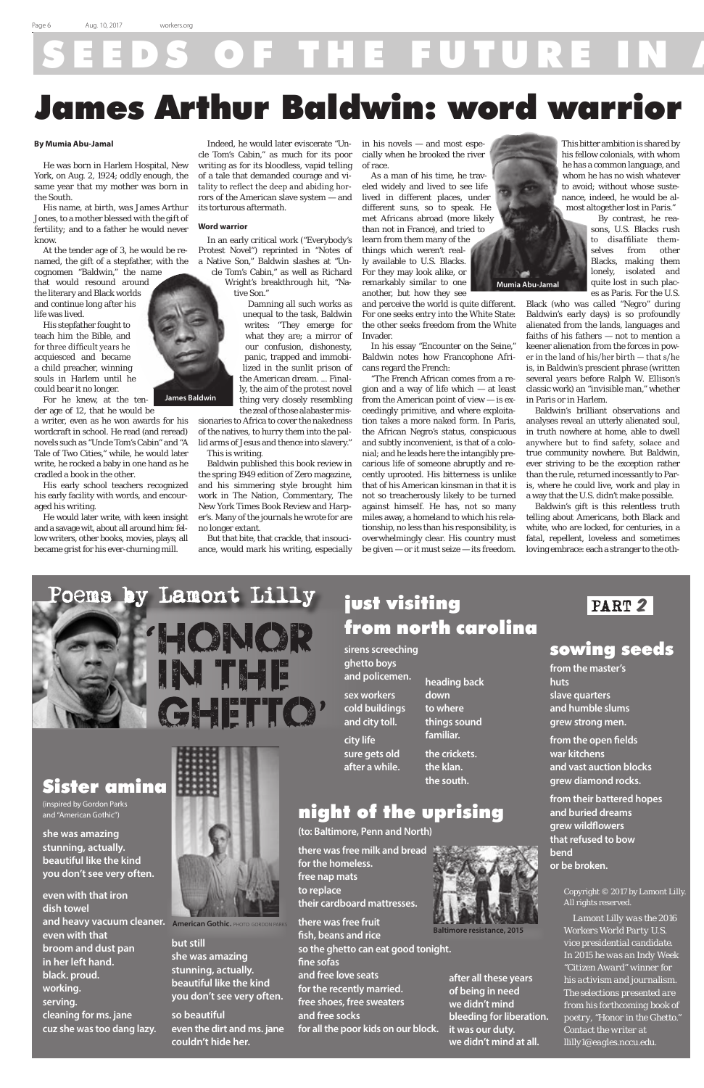# OF THE FUTURE I

Copyright © 2017 by Lamont Lilly. All rights reserved.

*Lamont Lilly was the 2016 Workers World Party U.S. vice presidential candidate. In 2015 he was an Indy Week "Citizen Award" winner for his activism and journalism. The selections presented are from his forthcoming book of poetry, "Honor in the Ghetto." Contact the writer at llilly1@eagles.nccu.edu.*

### sowing seeds

**from the master's huts slave quarters and humble slums grew strong men.**

**from the open fields war kitchens and vast auction blocks grew diamond rocks.**

**from their battered hopes and buried dreams grew wildflowers that refused to bow bend or be broken.**

### just visiting from north carolina

**sirens screeching ghetto boys**

**and policemen. sex workers cold buildings and city toll.**

**city life sure gets old after a while.**



(inspired by Gordon Parks and "American Gothic")

**she was amazing stunning, actually. beautiful like the kind you don't see very often.**

**even with that iron dish towel and heavy vacuum cleaner.** American Gothic. PHOTO: GORDON PARKS **even with that broom and dust pan in her left hand. black. proud. working. serving. cleaning for ms. jane cuz she was too dang lazy.**



**but still she was amazing stunning, actually. beautiful like the kind you don't see very often.**

**so beautiful even the dirt and ms. jane couldn't hide her.**

**heading back down to where things sound familiar.**

**the crickets. the klan. the south.**

PART 2

### night of the uprising

**(to: Baltimore, Penn and North)**

**there was free milk and bread for the homeless. free nap mats to replace their cardboard mattresses.**

**there was free fruit fish, beans and rice so the ghetto can eat good tonight. fine sofas and free love seats for the recently married. free shoes, free sweaters and free socks**

**for all the poor kids on our block.**



# James Arthur Baldwin: word warrior

### **By Mumia Abu-Jamal**

He was born in Harlem Hospital, New York, on Aug. 2, 1924; oddly enough, the same year that my mother was born in the South.

His name, at birth, was James Arthur Jones, to a mother blessed with the gift of fertility; and to a father he would never know.

At the tender age of 3, he would be renamed, the gift of a stepfather, with the

cognomen "Baldwin," the name that would resound around the literary and Black worlds and continue long after his life was lived.

His stepfather fought to teach him the Bible, and for three difficult years he acquiesced and became a child preacher, winning souls in Harlem until he could bear it no longer.

For he knew, at the tender age of 12, that he would be

a writer, even as he won awards for his wordcraft in school. He read (and reread) novels such as "Uncle Tom's Cabin" and "A Tale of Two Cities," while, he would later write, he rocked a baby in one hand as he cradled a book in the other.

His early school teachers recognized his early facility with words, and encouraged his writing.

He would later write, with keen insight and a savage wit, about all around him: fellow writers, other books, movies, plays; all became grist for his ever-churning mill.



Indeed, he would later eviscerate "Uncle Tom's Cabin," as much for its poor writing as for its bloodless, vapid telling of a tale that demanded courage and vitality to reflect the deep and abiding horrors of the American slave system — and its torturous aftermath.

### **Word warrior**

In an early critical work ("Everybody's Protest Novel") reprinted in "Notes of a Native Son," Baldwin slashes at "Uncle Tom's Cabin," as well as Richard

Wright's breakthrough hit, "Native Son."

> Damning all such works as unequal to the task, Baldwin writes: "They emerge for what they are; a mirror of our confusion, dishonesty, panic, trapped and immobilized in the sunlit prison of the American dream. ... Finally, the aim of the protest novel thing very closely resembling the zeal of those alabaster mis-

sionaries to Africa to cover the nakedness of the natives, to hurry them into the pallid arms of Jesus and thence into slavery." This is writing.

Baldwin published this book review in the spring 1949 edition of Zero magazine, and his simmering style brought him work in The Nation, Commentary, The New York Times Book Review and Harper's. Many of the journals he wrote for are no longer extant.

But that bite, that crackle, that insouciance, would mark his writing, especially in his novels — and most especially when he brooked the river of race.

As a man of his time, he traveled widely and lived to see life lived in different places, under different suns, so to speak. He met Africans abroad (more likely than not in France), and tried to

learn from them many of the things which weren't really available to U.S. Blacks. For they may look alike, or remarkably similar to one another, but how they see

and perceive the world is quite different. For one seeks entry into the White State: the other seeks freedom from the White Invader.

In his essay "Encounter on the Seine," Baldwin notes how Francophone Africans regard the French:

"The French African comes from a region and a way of life which — at least from the American point of view — is exceedingly primitive, and where exploitation takes a more naked form. In Paris, the African Negro's status, conspicuous and subtly inconvenient, is that of a colonial; and he leads here the intangibly precarious life of someone abruptly and recently uprooted. His bitterness is unlike that of his American kinsman in that it is not so treacherously likely to be turned against himself. He has, not so many miles away, a homeland to which his relationship, no less than his responsibility, is overwhelmingly clear. His country must be given — or it must seize — its freedom.



his fellow colonials, with whom he has a common language, and whom he has no wish whatever to avoid; without whose sustenance, indeed, he would be almost altogether lost in Paris."

> By contrast, he reasons, U.S. Blacks rush to disaffiliate themselves from other Blacks, making them lonely, isolated and quite lost in such places as Paris. For the U.S.

Black (who was called "Negro" during Baldwin's early days) is so profoundly alienated from the lands, languages and faiths of his fathers — not to mention a keener alienation from the forces in power in the land of his/her birth — that s/he is, in Baldwin's prescient phrase (written several years before Ralph W. Ellison's classic work) an "invisible man," whether in Paris or in Harlem.

Baldwin's brilliant observations and analyses reveal an utterly alienated soul, in truth nowhere at home, able to dwell anywhere but to find safety, solace and true community nowhere. But Baldwin, ever striving to be the exception rather than the rule, returned incessantly to Paris, where he could live, work and play in a way that the U.S. didn't make possible.

Baldwin's gift is this relentless truth telling about Americans, both Black and white, who are locked, for centuries, in a fatal, repellent, loveless and sometimes loving embrace: each a stranger to the oth-

**James Baldwin**

**Mumia Abu-Jamal**

**after all these years of being in need we didn't mind bleeding for liberation. it was our duty. we didn't mind at all.**

**Baltimore resistance, 2015**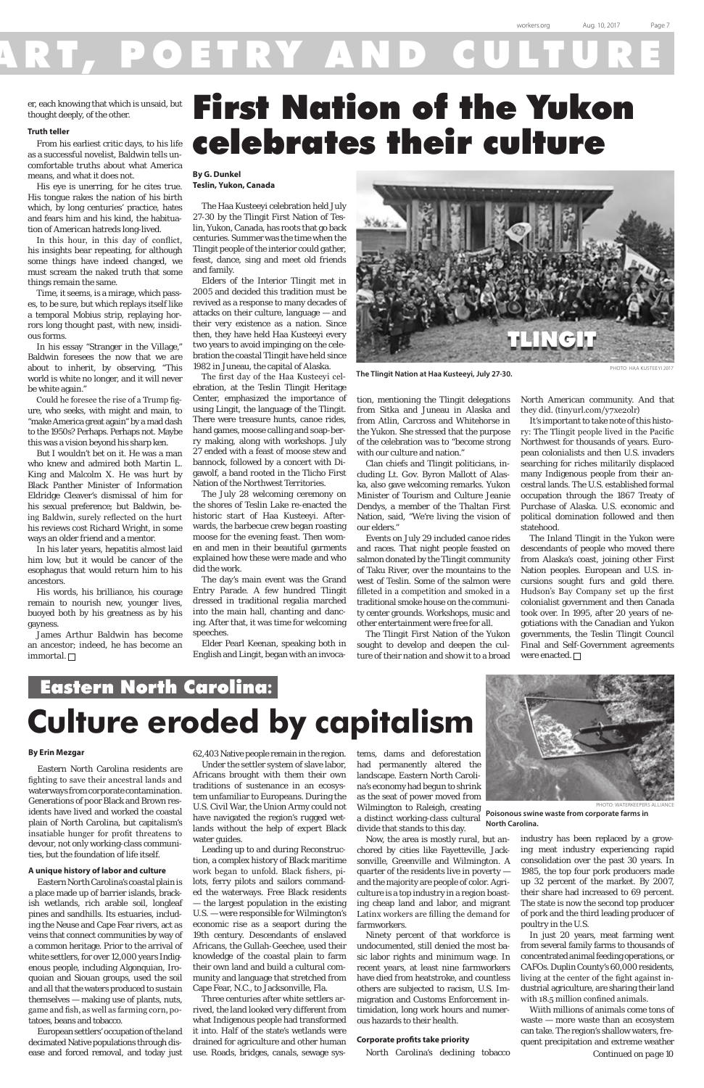# OETRY AND

er, each knowing that which is unsaid, but<br>thought deeply, of the other. thought deeply, of the other.

### **Truth teller**

From his earliest critic days, to his life as a successful novelist, Baldwin tells uncomfortable truths about what America means, and what it does not.

His eye is unerring, for he cites true. His tongue rakes the nation of his birth which, by long centuries' practice, hates and fears him and his kind, the habituation of American hatreds long-lived.

In this hour, in this day of conflict, his insights bear repeating, for although some things have indeed changed, we must scream the naked truth that some things remain the same.

Time, it seems, is a mirage, which passes, to be sure, but which replays itself like a temporal Mobius strip, replaying horrors long thought past, with new, insidious forms.

James Arthur Baldwin has become an ancestor; indeed, he has become an immortal.  $\square$ 

In his essay "Stranger in the Village," Baldwin foresees the now that we are about to inherit, by observing, "This world is white no longer, and it will never be white again."

Could he foresee the rise of a Trump figure, who seeks, with might and main, to "make America great again" by a mad dash to the 1950s? Perhaps. Perhaps not. Maybe this was a vision beyond his sharp ken.

But I wouldn't bet on it. He was a man who knew and admired both Martin L. King and Malcolm X. He was hurt by Black Panther Minister of Information Eldridge Cleaver's dismissal of him for his sexual preference; but Baldwin, being Baldwin, surely reflected on the hurt his reviews cost Richard Wright, in some ways an older friend and a mentor.

In his later years, hepatitis almost laid him low, but it would be cancer of the esophagus that would return him to his ancestors.

His words, his brilliance, his courage remain to nourish new, younger lives, buoyed both by his greatness as by his gayness.

# First Nation of the Yukon celebrates their culture

**By G. Dunkel Teslin, Yukon, Canada**

The Haa Kusteeyi celebration held July 27-30 by the Tlingit First Nation of Teslin, Yukon, Canada, has roots that go back centuries. Summer was the time when the Tlingit people of the interior could gather, feast, dance, sing and meet old friends and family.

Elders of the Interior Tlingit met in 2005 and decided this tradition must be revived as a response to many decades of attacks on their culture, language — and their very existence as a nation. Since then, they have held Haa Kusteeyi every two years to avoid impinging on the celebration the coastal Tlingit have held since 1982 in Juneau, the capital of Alaska.

> The Inland Tlingit in the Yukon were descendants of people who moved there from Alaska's coast, joining other First Nation peoples. European and U.S. incursions sought furs and gold there. Hudson's Bay Company set up the first colonialist government and then Canada took over. In 1995, after 20 years of negotiations with the Canadian and Yukon governments, the Teslin Tlingit Council Final and Self-Government agreements were enacted.  $\square$

The first day of the Haa Kusteeyi celebration, at the Teslin Tlingit Heritage Center, emphasized the importance of using Lingit, the language of the Tlingit. There were treasure hunts, canoe rides, hand games, moose calling and soap-berry making, along with workshops. July 27 ended with a feast of moose stew and bannock, followed by a concert with Digawolf, a band rooted in the Tlicho First Nation of the Northwest Territories.

The July 28 welcoming ceremony on the shores of Teslin Lake re-enacted the historic start of Haa Kusteeyi. Afterwards, the barbecue crew began roasting moose for the evening feast. Then women and men in their beautiful garments explained how these were made and who did the work.

The day's main event was the Grand Entry Parade. A few hundred Tlingit dressed in traditional regalia marched into the main hall, chanting and dancing. After that, it was time for welcoming speeches.

Elder Pearl Keenan, speaking both in English and Lingit, began with an invocation, mentioning the Tlingit delegations from Sitka and Juneau in Alaska and from Atlin, Carcross and Whitehorse in the Yukon. She stressed that the purpose of the celebration was to "become strong with our culture and nation."

Clan chiefs and Tlingit politicians, including Lt. Gov. Byron Mallott of Alaska, also gave welcoming remarks. Yukon Minister of Tourism and Culture Jeanie Dendys, a member of the Thaltan First Nation, said, "We're living the vision of our elders."

Events on July 29 included canoe rides and races. That night people feasted on salmon donated by the Tlingit community of Taku River, over the mountains to the west of Teslin. Some of the salmon were filleted in a competition and smoked in a traditional smoke house on the community center grounds. Workshops, music and other entertainment were free for all.

The Tlingit First Nation of the Yukon sought to develop and deepen the culture of their nation and show it to a broad North American community. And that they did. (tinyurl.com/y7xe2olr)

It's important to take note of this history: The Tlingit people lived in the Pacific Northwest for thousands of years. European colonialists and then U.S. invaders searching for riches militarily displaced many Indigenous people from their ancestral lands. The U.S. established formal occupation through the 1867 Treaty of Purchase of Alaska. U.S. economic and political domination followed and then statehood.

PHOTO: HAA KUSTEEYI 2017

## Eastern North Carolina**: Culture eroded by capitalism**

#### **By Erin Mezgar**

Eastern North Carolina residents are fighting to save their ancestral lands and waterways from corporate contamination. Generations of poor Black and Brown residents have lived and worked the coastal plain of North Carolina, but capitalism's insatiable hunger for profit threatens to devour, not only working-class communities, but the foundation of life itself.

### **A unique history of labor and culture**

Eastern North Carolina's coastal plain is a place made up of barrier islands, brackish wetlands, rich arable soil, longleaf pines and sandhills. Its estuaries, including the Neuse and Cape Fear rivers, act as veins that connect communities by way of a common heritage. Prior to the arrival of white settlers, for over 12,000 years Indigenous people, including Algonquian, Iroquoian and Siouan groups, used the soil and all that the waters produced to sustain themselves — making use of plants, nuts, game and fish, as well as farming corn, potatoes, beans and tobacco.

European settlers' occupation of the land decimated Native populations through disease and forced removal, and today just 62,403 Native people remain in the region.

Under the settler system of slave labor, Africans brought with them their own traditions of sustenance in an ecosystem unfamiliar to Europeans. During the U.S. Civil War, the Union Army could not have navigated the region's rugged wetlands without the help of expert Black water guides. Leading up to and during Reconstruction, a complex history of Black maritime work began to unfold. Black fishers, pilots, ferry pilots and sailors commanded the waterways. Free Black residents — the largest population in the existing U.S. — were responsible for Wilmington's economic rise as a seaport during the 19th century. Descendants of enslaved Africans, the Gullah-Geechee, used their knowledge of the coastal plain to farm their own land and build a cultural community and language that stretched from Cape Fear, N.C., to Jacksonville, Fla. Three centuries after white settlers arrived, the land looked very different from what Indigenous people had transformed it into. Half of the state's wetlands were drained for agriculture and other human use. Roads, bridges, canals, sewage sys-



**The Tlingit Nation at Haa Kusteeyi, July 27-30.**

tems, dams and deforestation had permanently altered the landscape. Eastern North Carolina's economy had begun to shrink as the seat of power moved from



Wilmington to Raleigh, creating divide that stands to this day.

Now, the area is mostly rural, but anchored by cities like Fayetteville, Jacksonville, Greenville and Wilmington. A quarter of the residents live in poverty and the majority are people of color. Agriculture is a top industry in a region boasting cheap land and labor, and migrant Latinx workers are filling the demand for farmworkers.

Ninety percent of that workforce is undocumented, still denied the most basic labor rights and minimum wage. In recent years, at least nine farmworkers have died from heatstroke, and countless others are subjected to racism, U.S. Immigration and Customs Enforcement intimidation, long work hours and numerous hazards to their health.

### **Corporate profits take priority**

North Carolina's declining tobacco

a distinct working-class cultural **Poisonous swine waste from corporate farms in North Carolina.**

> industry has been replaced by a growing meat industry experiencing rapid consolidation over the past 30 years. In 1985, the top four pork producers made up 32 percent of the market. By 2007, their share had increased to 69 percent. The state is now the second top producer of pork and the third leading producer of poultry in the U.S.

> In just 20 years, meat farming went from several family farms to thousands of concentrated animal feeding operations, or CAFOs. Duplin County's 60,000 residents, living at the center of the fight against industrial agriculture, are sharing their land with 18.5 million confined animals.

> Wiith millions of animals come tons of waste — more waste than an ecosystem can take. The region's shallow waters, frequent precipitation and extreme weather *Continued on page 10*

PHOTO: WATERKEEPERS ALLIANCE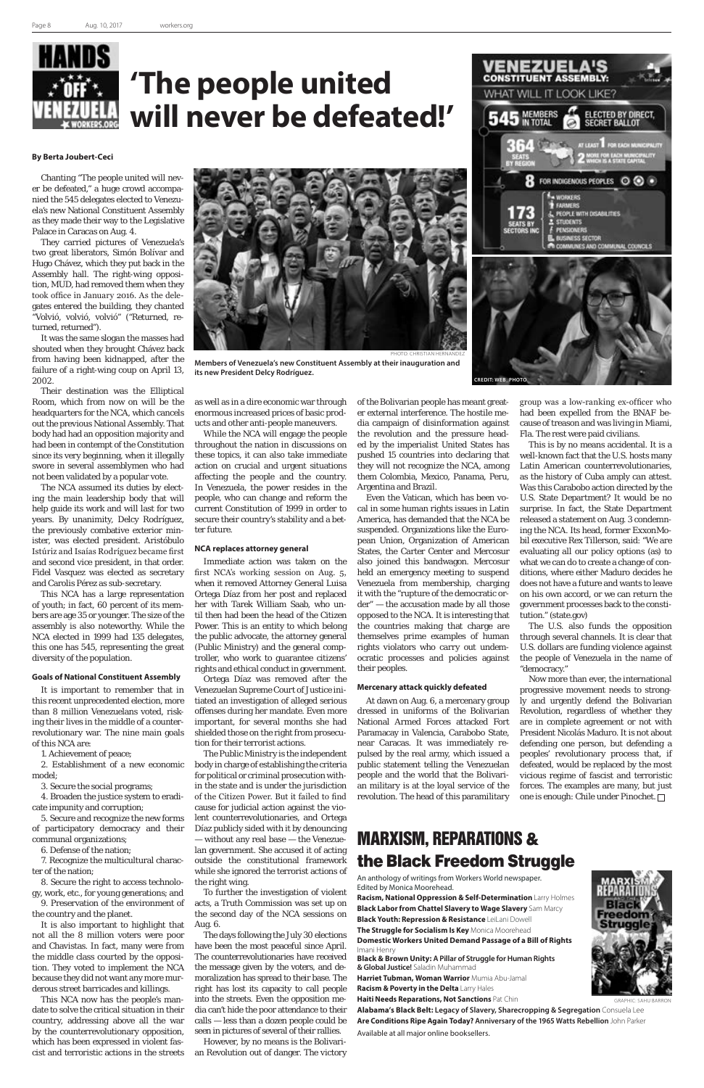

# **'The people united will never be defeated!'**

### **By Berta Joubert-Ceci**

Chanting "The people united will never be defeated," a huge crowd accompanied the 545 delegates elected to Venezuela's new National Constituent Assembly as they made their way to the Legislative Palace in Caracas on Aug. 4.

They carried pictures of Venezuela's two great liberators, Simón Bolívar and Hugo Chávez, which they put back in the Assembly hall. The right-wing opposition, MUD, had removed them when they took office in January 2016. As the delegates entered the building, they chanted "Volvió, volvió, volvió" ("Returned, returned, returned").

It was the same slogan the masses had shouted when they brought Chávez back from having been kidnapped, after the failure of a right-wing coup on April 13, 2002.

Their destination was the Elliptical Room, which from now on will be the headquarters for the NCA, which cancels out the previous National Assembly. That body had had an opposition majority and had been in contempt of the Constitution since its very beginning, when it illegally swore in several assemblymen who had not been validated by a popular vote.

The NCA assumed its duties by electing the main leadership body that will help guide its work and will last for two years. By unanimity, Delcy Rodríguez, the previously combative exterior minister, was elected president. Aristóbulo Istúriz and Isaías Rodríguez became first and second vice president, in that order. Fidel Vasquez was elected as secretary and Carolis Pérez as sub-secretary.

This NCA has a large representation of youth; in fact, 60 percent of its members are age 35 or younger. The size of the assembly is also noteworthy. While the NCA elected in 1999 had 135 delegates, this one has 545, representing the great diversity of the population.

#### **Goals of National Constituent Assembly**

It is important to remember that in this recent unprecedented election, more than 8 million Venezuelans voted, risking their lives in the middle of a counterrevolutionary war. The nine main goals of this NCA are:

1. Achievement of peace;

2. Establishment of a new economic model;

3. Secure the social programs;

4. Broaden the justice system to eradi-



cate impunity and corruption;

5. Secure and recognize the new forms of participatory democracy and their communal organizations;

6. Defense of the nation;

7. Recognize the multicultural character of the nation;

8. Secure the right to access technology, work, etc., for young generations; and

9. Preservation of the environment of the country and the planet.

It is also important to highlight that not all the 8 million voters were poor and Chavistas. In fact, many were from the middle class courted by the opposition. They voted to implement the NCA because they did not want any more murderous street barricades and killings.

This NCA now has the people's mandate to solve the critical situation in their country, addressing above all the war by the counterrevolutionary opposition, which has been expressed in violent fascist and terroristic actions in the streets as well as in a dire economic war through enormous increased prices of basic products and other anti-people maneuvers.

While the NCA will engage the people throughout the nation in discussions on these topics, it can also take immediate action on crucial and urgent situations affecting the people and the country. In Venezuela, the power resides in the people, who can change and reform the current Constitution of 1999 in order to secure their country's stability and a better future.

### **NCA replaces attorney general**

Immediate action was taken on the first NCA's working session on Aug. 5, when it removed Attorney General Luisa Ortega Díaz from her post and replaced her with Tarek William Saab, who until then had been the head of the Citizen Power. This is an entity to which belong the public advocate, the attorney general (Public Ministry) and the general comptroller, who work to guarantee citizens' rights and ethical conduct in government.

Ortega Díaz was removed after the Venezuelan Supreme Court of Justice initiated an investigation of alleged serious offenses during her mandate. Even more important, for several months she had shielded those on the right from prosecution for their terrorist actions.

The Public Ministry is the independent body in charge of establishing the criteria for political or criminal prosecution within the state and is under the jurisdiction of the Citizen Power. But it failed to find cause for judicial action against the violent counterrevolutionaries, and Ortega Díaz publicly sided with it by denouncing — without any real base — the Venezuelan government. She accused it of acting outside the constitutional framework while she ignored the terrorist actions of the right wing.

To further the investigation of violent acts, a Truth Commission was set up on the second day of the NCA sessions on Aug. 6.

The days following the July 30 elections have been the most peaceful since April. The counterrevolutionaries have received the message given by the voters, and demoralization has spread to their base. The right has lost its capacity to call people into the streets. Even the opposition media can't hide the poor attendance to their calls — less than a dozen people could be seen in pictures of several of their rallies.

However, by no means is the Bolivarian Revolution out of danger. The victory

of the Bolivarian people has meant greater external interference. The hostile media campaign of disinformation against the revolution and the pressure headed by the imperialist United States has pushed 15 countries into declaring that they will not recognize the NCA, among them Colombia, Mexico, Panama, Peru, Argentina and Brazil.

Even the Vatican, which has been vocal in some human rights issues in Latin America, has demanded that the NCA be suspended. Organizations like the European Union, Organization of American States, the Carter Center and Mercosur also joined this bandwagon. Mercosur held an emergency meeting to suspend Venezuela from membership, charging it with the "rupture of the democratic order" — the accusation made by all those opposed to the NCA. It is interesting that the countries making that charge are themselves prime examples of human rights violators who carry out undemocratic processes and policies against their peoples.

### **Mercenary attack quickly defeated**

At dawn on Aug. 6, a mercenary group dressed in uniforms of the Bolivarian National Armed Forces attacked Fort Paramacay in Valencia, Carabobo State, near Caracas. It was immediately repulsed by the real army, which issued a public statement telling the Venezuelan people and the world that the Bolivarian military is at the loyal service of the revolution. The head of this paramilitary

group was a low-ranking ex-officer who had been expelled from the BNAF because of treason and was living in Miami, Fla. The rest were paid civilians.

This is by no means accidental. It is a well-known fact that the U.S. hosts many Latin American counterrevolutionaries, as the history of Cuba amply can attest. Was this Carabobo action directed by the U.S. State Department? It would be no surprise. In fact, the State Department released a statement on Aug. 3 condemning the NCA. Its head, former ExxonMobil executive Rex Tillerson, said: "We are evaluating all our policy options (as) to what we can do to create a change of conditions, where either Maduro decides he does not have a future and wants to leave on his own accord, or we can return the government processes back to the constitution." (state.gov)

The U.S. also funds the opposition through several channels. It is clear that U.S. dollars are funding violence against the people of Venezuela in the name of "democracy."

Now more than ever, the international progressive movement needs to strongly and urgently defend the Bolivarian Revolution, regardless of whether they are in complete agreement or not with President Nicolás Maduro. It is not about defending one person, but defending a peoples' revolutionary process that, if defeated, would be replaced by the most vicious regime of fascist and terroristic forces. The examples are many, but just one is enough: Chile under Pinochet.



**Members of Venezuela's new Constituent Assembly at their inauguration and its new President Delcy Rodríguez.**

### MARXISM, REPARATIONS & the Black Freedom Struggle

An anthology of writings from Workers World newspaper. Edited by Monica Moorehead.

**Racism, National Oppression & Self-Determination** Larry Holmes **Black Labor from Chattel Slavery to Wage Slavery** Sam Marcy **Black Youth: Repression & Resistance** LeiLani Dowell **The Struggle for Socialism Is Key** Monica Moorehead **Domestic Workers United Demand Passage of a Bill of Rights**

Imani Henry

**Black & Brown Unity: A Pillar of Struggle for Human Rights & Global Justice!** Saladin Muhammad

**Harriet Tubman, Woman Warrior** Mumia Abu-Jamal

**Racism & Poverty in the Delta** Larry Hales

**Haiti Needs Reparations, Not Sanctions** Pat Chin





GRAPHIC: SAHU BARRON

**CREDIT: WEB\_PHOTO**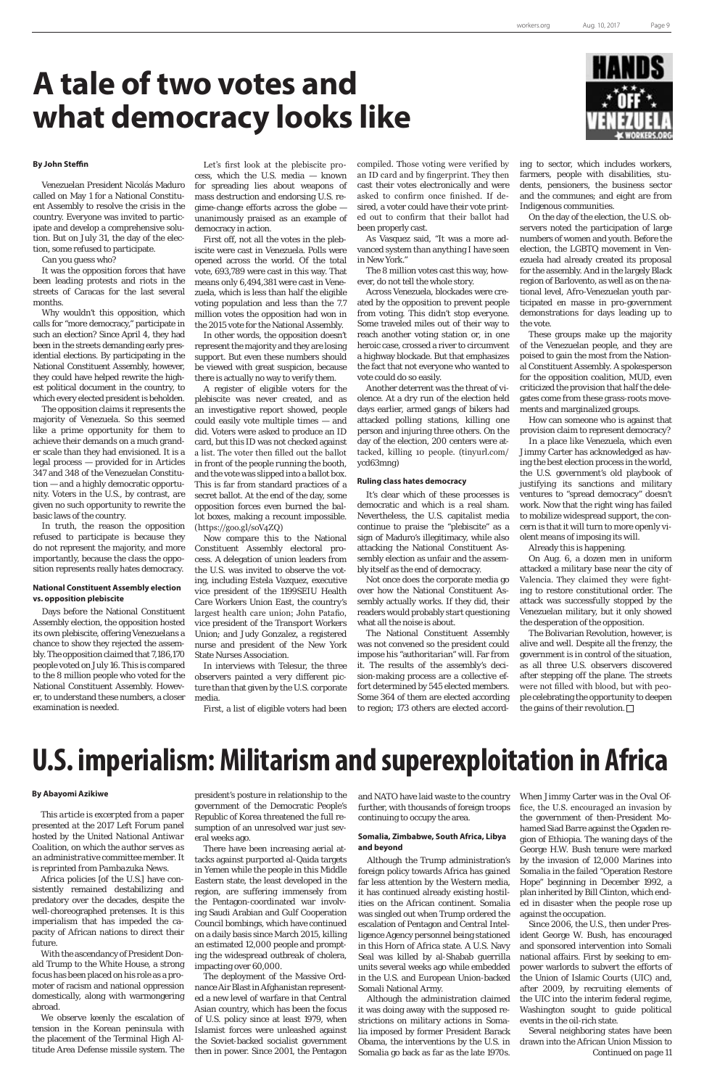### **By John Steffin**

Venezuelan President Nicolás Maduro called on May 1 for a National Constituent Assembly to resolve the crisis in the country. Everyone was invited to participate and develop a comprehensive solution. But on July 31, the day of the election, some refused to participate.

Can you guess who?

It was the opposition forces that have been leading protests and riots in the streets of Caracas for the last several months.

Why wouldn't this opposition, which calls for "more democracy," participate in such an election? Since April 4, they had been in the streets demanding early presidential elections. By participating in the National Constituent Assembly, however, they could have helped rewrite the highest political document in the country, to which every elected president is beholden.

The opposition claims it represents the majority of Venezuela. So this seemed like a prime opportunity for them to achieve their demands on a much grander scale than they had envisioned. It is a legal process — provided for in Articles 347 and 348 of the Venezuelan Constitution — and a highly democratic opportunity. Voters in the U.S., by contrast, are given no such opportunity to rewrite the basic laws of the country.

In truth, the reason the opposition refused to participate is because they do not represent the majority, and more importantly, because the class the opposition represents really hates democracy.

### **National Constituent Assembly election vs. opposition plebiscite**

Days before the National Constituent Assembly election, the opposition hosted its own plebiscite, offering Venezuelans a chance to show they rejected the assembly. The opposition claimed that 7,186,170 people voted on July 16. This is compared to the 8 million people who voted for the National Constituent Assembly. However, to understand these numbers, a closer examination is needed.

Let's first look at the plebiscite process, which the U.S. media — known for spreading lies about weapons of mass destruction and endorsing U.S. regime-change efforts across the globe unanimously praised as an example of democracy in action.

First off, not all the votes in the plebiscite were cast in Venezuela. Polls were opened across the world. Of the total vote, 693,789 were cast in this way. That means only 6,494,381 were cast in Venezuela, which is less than half the eligible voting population and less than the 7.7 million votes the opposition had won in the 2015 vote for the National Assembly.

In other words, the opposition doesn't represent the majority and they are losing support. But even these numbers should be viewed with great suspicion, because there is actually no way to verify them.

A register of eligible voters for the plebiscite was never created, and as an investigative report showed, people could easily vote multiple times — and did. Voters were asked to produce an ID card, but this ID was not checked against a list. The voter then filled out the ballot in front of the people running the booth, and the vote was slipped into a ballot box. This is far from standard practices of a secret ballot. At the end of the day, some opposition forces even burned the ballot boxes, making a recount impossible. (https://goo.gl/soV4ZQ)

Now compare this to the National Constituent Assembly electoral process. A delegation of union leaders from the U.S. was invited to observe the voting, including Estela Vazquez, executive vice president of the 1199SEIU Health Care Workers Union East, the country's largest health care union; John Patafio, vice president of the Transport Workers Union; and Judy Gonzalez, a registered nurse and president of the New York State Nurses Association.

In interviews with Telesur, the three observers painted a very different picture than that given by the U.S. corporate media.

First, a list of eligible voters had been

compiled. Those voting were verified by an ID card and by fingerprint. They then cast their votes electronically and were asked to confirm once finished. If desired, a voter could have their vote printed out to confirm that their ballot had been properly cast.

As Vasquez said, "It was a more advanced system than anything I have seen in New York."

> The Bolivarian Revolution, however, is alive and well. Despite all the frenzy, the government is in control of the situation, as all three U.S. observers discovered after stepping off the plane. The streets were not filled with blood, but with people celebrating the opportunity to deepen the gains of their revolution.  $\Box$

The 8 million votes cast this way, however, do not tell the whole story.

Across Venezuela, blockades were created by the opposition to prevent people from voting. This didn't stop everyone. Some traveled miles out of their way to reach another voting station or, in one heroic case, crossed a river to circumvent a highway blockade. But that emphasizes the fact that not everyone who wanted to vote could do so easily.

Another deterrent was the threat of violence. At a dry run of the election held days earlier, armed gangs of bikers had attacked polling stations, killing one person and injuring three others. On the day of the election, 200 centers were attacked, killing 10 people. (tinyurl.com/ ycd63mng)

### **Ruling class hates democracy**

It's clear which of these processes is democratic and which is a real sham. Nevertheless, the U.S. capitalist media continue to praise the "plebiscite" as a sign of Maduro's illegitimacy, while also attacking the National Constituent Assembly election as unfair and the assembly itself as the end of democracy.

Not once does the corporate media go over how the National Constituent Assembly actually works. If they did, their readers would probably start questioning what all the noise is about.

The National Constituent Assembly was not convened so the president could impose his "authoritarian" will. Far from it. The results of the assembly's decision-making process are a collective effort determined by 545 elected members. Some 364 of them are elected according to region; 173 others are elected accord-

**By Abayomi Azikiwe**

*This article is excerpted from a paper presented at the 2017 Left Forum panel hosted by the United National Antiwar Coalition, on which the author serves as an administrative committee member. It is reprinted from Pambazuka News.*

Africa policies [of the U.S.] have consistently remained destabilizing and predatory over the decades, despite the well-choreographed pretenses. It is this imperialism that has impeded the capacity of African nations to direct their future.

With the ascendancy of President Donald Trump to the White House, a strong focus has been placed on his role as a promoter of racism and national oppression domestically, along with warmongering abroad.

We observe keenly the escalation of tension in the Korean peninsula with the placement of the Terminal High Altitude Area Defense missile system. The

# **A tale of two votes and what democracy looks like**

# **U.S. imperialism: Militarism and superexploitation in Africa**

ing to sector, which includes workers, farmers, people with disabilities, students, pensioners, the business sector and the communes; and eight are from Indigenous communities.

On the day of the election, the U.S. observers noted the participation of large numbers of women and youth. Before the election, the LGBTQ movement in Venezuela had already created its proposal for the assembly. And in the largely Black region of Barlovento, as well as on the national level, Afro-Venezuelan youth participated en masse in pro-government demonstrations for days leading up to the vote.

These groups make up the majority of the Venezuelan people, and they are poised to gain the most from the National Constituent Assembly. A spokesperson for the opposition coalition, MUD, even criticized the provision that half the delegates come from these grass-roots movements and marginalized groups.

How can someone who is against that provision claim to represent democracy?

In a place like Venezuela, which even Jimmy Carter has acknowledged as having the best election process in the world, the U.S. government's old playbook of justifying its sanctions and military ventures to "spread democracy" doesn't work. Now that the right wing has failed to mobilize widespread support, the concern is that it will turn to more openly violent means of imposing its will.

Already this is happening.

On Aug. 6, a dozen men in uniform attacked a military base near the city of Valencia. They claimed they were fighting to restore constitutional order. The attack was successfully stopped by the Venezuelan military, but it only showed the desperation of the opposition.

government of the Democratic People's Republic of Korea threatened the full resumption of an unresolved war just several weeks ago.

There have been increasing aerial attacks against purported al-Qaida targets in Yemen while the people in this Middle Eastern state, the least developed in the region, are suffering immensely from the Pentagon-coordinated war involving Saudi Arabian and Gulf Cooperation Council bombings, which have continued on a daily basis since March 2015, killing an estimated 12,000 people and prompting the widespread outbreak of cholera, impacting over 60,000.

The deployment of the Massive Ordnance Air Blast in Afghanistan represented a new level of warfare in that Central Asian country, which has been the focus of U.S. policy since at least 1979, when Islamist forces were unleashed against the Soviet-backed socialist government then in power. Since 2001, the Pentagon

president's posture in relationship to the and NATO have laid waste to the country When Jimmy Carter was in the Oval Of-



further, with thousands of foreign troops continuing to occupy the area.

### **Somalia, Zimbabwe, South Africa, Libya and beyond**

Although the Trump administration's foreign policy towards Africa has gained far less attention by the Western media, it has continued already existing hostilities on the African continent. Somalia was singled out when Trump ordered the escalation of Pentagon and Central Intelligence Agency personnel being stationed in this Horn of Africa state. A U.S. Navy Seal was killed by al-Shabab guerrilla units several weeks ago while embedded in the U.S. and European Union-backed Somali National Army.

Although the administration claimed it was doing away with the supposed restrictions on military actions in Somalia imposed by former President Barack Obama, the interventions by the U.S. in Somalia go back as far as the late 1970s.

fice, the U.S. encouraged an invasion by the government of then-President Mohamed Siad Barre against the Ogaden region of Ethiopia. The waning days of the George H.W. Bush tenure were marked by the invasion of 12,000 Marines into Somalia in the failed "Operation Restore Hope" beginning in December 1992, a plan inherited by Bill Clinton, which ended in disaster when the people rose up against the occupation.

Since 2006, the U.S., then under President George W. Bush, has encouraged and sponsored intervention into Somali national affairs. First by seeking to empower warlords to subvert the efforts of the Union of Islamic Courts (UIC) and, after 2009, by recruiting elements of the UIC into the interim federal regime, Washington sought to guide political events in the oil-rich state.

Several neighboring states have been drawn into the African Union Mission to *Continued on page 11*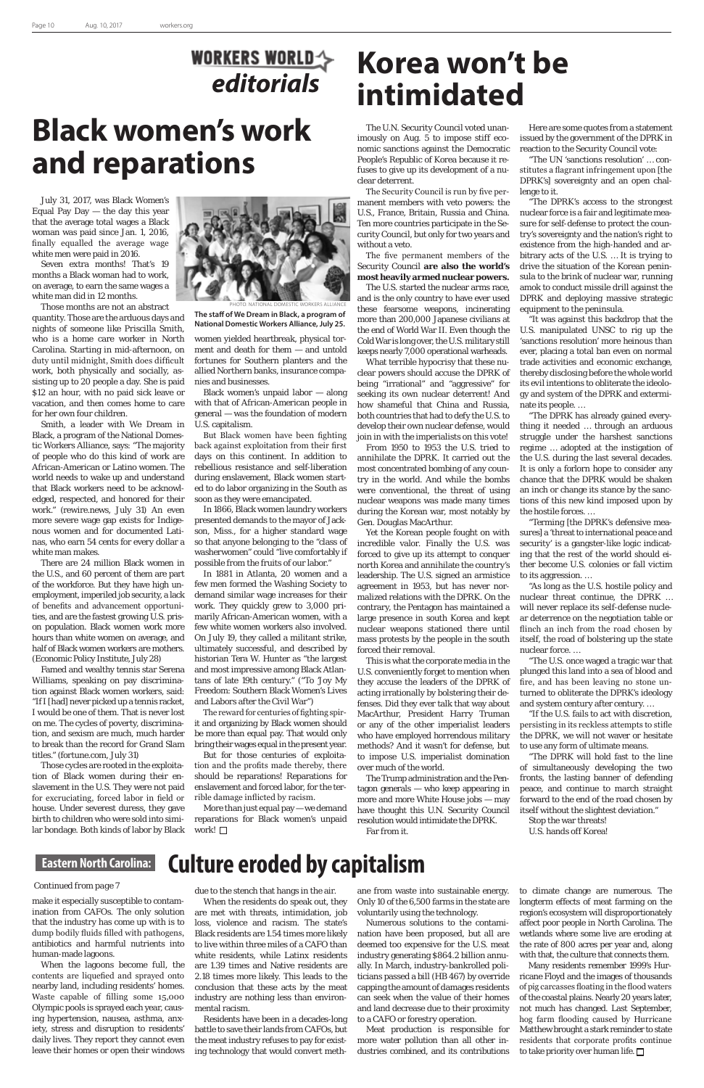make it especially susceptible to contamination from CAFOs. The only solution that the industry has come up with is to dump bodily fluids filled with pathogens, antibiotics and harmful nutrients into human-made lagoons.

When the lagoons become full, the contents are liquefied and sprayed onto nearby land, including residents' homes. Waste capable of filling some 15,000 Olympic pools is sprayed each year, causing hypertension, nausea, asthma, anxiety, stress and disruption to residents' daily lives. They report they cannot even leave their homes or open their windows ane from waste into sustainable energy. Only 10 of the 6,500 farms in the state are voluntarily using the technology.

Numerous solutions to the contamination have been proposed, but all are deemed too expensive for the U.S. meat industry generating \$864.2 billion annually. In March, industry-bankrolled politicians passed a bill (HB 467) by override capping the amount of damages residents can seek when the value of their homes and land decrease due to their proximity to a CAFO or forestry operation.

Meat production is responsible for more water pollution than all other industries combined, and its contributions

due to the stench that hangs in the air. When the residents do speak out, they are met with threats, intimidation, job loss, violence and racism. The state's Black residents are 1.54 times more likely to live within three miles of a CAFO than white residents, while Latinx residents are 1.39 times and Native residents are 2.18 times more likely. This leads to the conclusion that these acts by the meat industry are nothing less than environmental racism.

Residents have been in a decades-long battle to save their lands from CAFOs, but the meat industry refuses to pay for existing technology that would convert meth-

# **Korea won't be intimidated**

July 31, 2017, was Black Women's Equal Pay Day  $-$  the day this year that the average total wages a Black woman was paid since Jan. 1, 2016, finally equalled the average wage white men were paid in 2016.

Seven extra months! That's 19 months a Black woman had to work, on average, to earn the same wages a white man did in 12 months.

Those months are not an abstract quantity. Those are the arduous days and nights of someone like Priscilla Smith, who is a home care worker in North Carolina. Starting in mid-afternoon, on duty until midnight, Smith does difficult work, both physically and socially, assisting up to 20 people a day. She is paid \$12 an hour, with no paid sick leave or vacation, and then comes home to care for her own four children.

Smith, a leader with We Dream in Black, a program of the National Domestic Workers Alliance, says: "The majority of people who do this kind of work are African-American or Latino women. The world needs to wake up and understand that Black workers need to be acknowledged, respected, and honored for their work." (rewire.news, July 31) An even more severe wage gap exists for Indigenous women and for documented Latinas, who earn 54 cents for every dollar a white man makes.

> More than just equal pay — we demand reparations for Black women's unpaid work! □

There are 24 million Black women in the U.S., and 60 percent of them are part of the workforce. But they have high unemployment, imperiled job security, a lack of benefits and advancement opportunities, and are the fastest growing U.S. prison population. Black women work more hours than white women on average, and half of Black women workers are mothers. (Economic Policy Institute, July 28)

Famed and wealthy tennis star Serena Williams, speaking on pay discrimination against Black women workers, said: "If I [had] never picked up a tennis racket, I would be one of them. That is never lost on me. The cycles of poverty, discrimination, and sexism are much, much harder to break than the record for Grand Slam titles." (fortune.com, July 31)

Those cycles are rooted in the exploitation of Black women during their enslavement in the U.S. They were not paid for excruciating, forced labor in field or house. Under severest duress, they gave birth to children who were sold into similar bondage. Both kinds of labor by Black

women yielded heartbreak, physical torment and death for them — and untold fortunes for Southern planters and the allied Northern banks, insurance companies and businesses.

Black women's unpaid labor — along with that of African-American people in general — was the foundation of modern U.S. capitalism.

But Black women have been fighting back against exploitation from their first days on this continent. In addition to rebellious resistance and self-liberation during enslavement, Black women started to do labor organizing in the South as soon as they were emancipated.

In 1866, Black women laundry workers presented demands to the mayor of Jackson, Miss., for a higher standard wage so that anyone belonging to the "class of washerwomen" could "live comfortably if possible from the fruits of our labor."

In 1881 in Atlanta, 20 women and a few men formed the Washing Society to demand similar wage increases for their work. They quickly grew to 3,000 primarily African-American women, with a few white women workers also involved. On July 19, they called a militant strike, ultimately successful, and described by historian Tera W. Hunter as "the largest and most impressive among Black Atlantans of late 19th century." ("To 'Joy My Freedom: Southern Black Women's Lives and Labors after the Civil War")

The reward for centuries of fighting spirit and organizing by Black women should be more than equal pay. That would only bring their wages equal in the present year.

But for those centuries of exploitation and the profits made thereby, there should be reparations! Reparations for enslavement and forced labor, for the terrible damage inflicted by racism.

### *Continued from page 7*

### **Eastern North Carolina: Culture eroded by capitalism**

# **Black women's work and reparations**



**The staff of We Dream in Black, a program of National Domestic Workers Alliance, July 25.** PHOTO: NATIONAL DOMESTIC WORKERS ALLIANCE

The U.N. Security Council voted unanimously on Aug. 5 to impose stiff economic sanctions against the Democratic People's Republic of Korea because it refuses to give up its development of a nuclear deterrent.

The Security Council is run by five permanent members with veto powers: the U.S., France, Britain, Russia and China. Ten more countries participate in the Security Council, but only for two years and without a veto.

The five permanent members of the Security Council **are also the world's most heavily armed nuclear powers.**

The U.S. started the nuclear arms race, and is the only country to have ever used these fearsome weapons, incinerating more than 200,000 Japanese civilians at the end of World War II. Even though the Cold War is long over, the U.S. military still keeps nearly 7,000 operational warheads.

What terrible hypocrisy that these nuclear powers should accuse the DPRK of being "irrational" and "aggressive" for seeking its own nuclear deterrent! And how shameful that China and Russia, both countries that had to defy the U.S. to develop their own nuclear defense, would join in with the imperialists on this vote!

From 1950 to 1953 the U.S. tried to annihilate the DPRK. It carried out the most concentrated bombing of any country in the world. And while the bombs were conventional, the threat of using nuclear weapons was made many times during the Korean war, most notably by Gen. Douglas MacArthur.

Yet the Korean people fought on with incredible valor. Finally the U.S. was forced to give up its attempt to conquer north Korea and annihilate the country's leadership. The U.S. signed an armistice agreement in 1953, but has never normalized relations with the DPRK. On the contrary, the Pentagon has maintained a large presence in south Korea and kept nuclear weapons stationed there until mass protests by the people in the south forced their removal.

This is what the corporate media in the U.S. conveniently forget to mention when they accuse the leaders of the DPRK of acting irrationally by bolstering their defenses. Did they ever talk that way about MacArthur, President Harry Truman or any of the other imperialist leaders who have employed horrendous military methods? And it wasn't for defense, but to impose U.S. imperialist domination over much of the world.

The Trump administration and the Pentagon generals — who keep appearing in more and more White House jobs — may have thought this U.N. Security Council resolution would intimidate the DPRK. Far from it.

Here are some quotes from a statement issued by the government of the DPRK in reaction to the Security Council vote:

"The UN 'sanctions resolution' … constitutes a flagrant infringement upon [the DPRK's] sovereignty and an open challenge to it.

"The DPRK's access to the strongest nuclear force is a fair and legitimate measure for self-defense to protect the country's sovereignty and the nation's right to existence from the high-handed and arbitrary acts of the U.S. … It is trying to drive the situation of the Korean peninsula to the brink of nuclear war, running amok to conduct missile drill against the DPRK and deploying massive strategic equipment to the peninsula.

"It was against this backdrop that the U.S. manipulated UNSC to rig up the 'sanctions resolution' more heinous than ever, placing a total ban even on normal trade activities and economic exchange, thereby disclosing before the whole world its evil intentions to obliterate the ideology and system of the DPRK and exterminate its people. …

"The DPRK has already gained everything it needed … through an arduous struggle under the harshest sanctions regime … adopted at the instigation of the U.S. during the last several decades. It is only a forlorn hope to consider any chance that the DPRK would be shaken an inch or change its stance by the sanctions of this new kind imposed upon by the hostile forces. …

"Terming [the DPRK's defensive measures] a 'threat to international peace and security' is a gangster-like logic indicating that the rest of the world should either become U.S. colonies or fall victim to its aggression. …

"As long as the U.S. hostile policy and nuclear threat continue, the DPRK … will never replace its self-defense nuclear deterrence on the negotiation table or flinch an inch from the road chosen by itself, the road of bolstering up the state nuclear force. …

"The U.S. once waged a tragic war that plunged this land into a sea of blood and fire, and has been leaving no stone unturned to obliterate the DPRK's ideology and system century after century. …

"If the U.S. fails to act with discretion, persisting in its reckless attempts to stifle the DPRK, we will not waver or hesitate to use any form of ultimate means.

"The DPRK will hold fast to the line of simultaneously developing the two fronts, the lasting banner of defending peace, and continue to march straight forward to the end of the road chosen by itself without the slightest deviation." Stop the war threats! U.S. hands off Korea!

to climate change are numerous. The longterm effects of meat farming on the region's ecosystem will disproportionately affect poor people in North Carolina. The wetlands where some live are eroding at the rate of 800 acres per year and, along with that, the culture that connects them.

Many residents remember 1999's Hurricane Floyd and the images of thousands of pig carcasses floating in the flood waters of the coastal plains. Nearly 20 years later, not much has changed. Last September, hog farm flooding caused by Hurricane Matthew brought a stark reminder to state residents that corporate profits continue to take priority over human life.

# *editorials*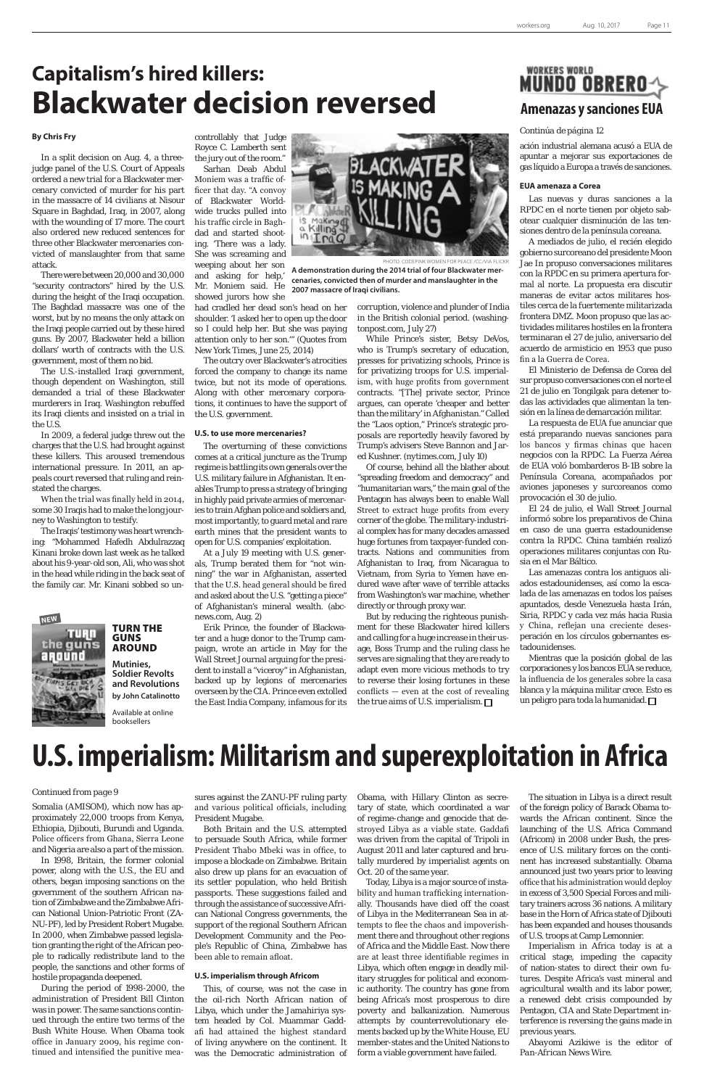Somalia (AMISOM), which now has approximately 22,000 troops from Kenya, Ethiopia, Djibouti, Burundi and Uganda. Police officers from Ghana, Sierra Leone and Nigeria are also a part of the mission.

In 1998, Britain, the former colonial power, along with the U.S., the EU and others, began imposing sanctions on the government of the southern African nation of Zimbabwe and the Zimbabwe African National Union-Patriotic Front (ZA-NU-PF), led by President Robert Mugabe. In 2000, when Zimbabwe passed legislation granting the right of the African people to radically redistribute land to the people, the sanctions and other forms of hostile propaganda deepened.

During the period of 1998-2000, the administration of President Bill Clinton was in power. The same sanctions continued through the entire two terms of the Bush White House. When Obama took office in January 2009, his regime continued and intensified the punitive meaand various political officials, including President Mugabe.

Both Britain and the U.S. attempted to persuade South Africa, while former President Thabo Mbeki was in office, to impose a blockade on Zimbabwe. Britain also drew up plans for an evacuation of its settler population, who held British passports. These suggestions failed and through the assistance of successive African National Congress governments, the support of the regional Southern African Development Community and the People's Republic of China, Zimbabwe has been able to remain afloat.

sures against the ZANU-PF ruling party Obama, with Hillary Clinton as secre-

### **U.S. imperialism through Africom**

This, of course, was not the case in the oil-rich North African nation of Libya, which under the Jamahiriya system headed by Col. Muammar Gaddafi had attained the highest standard of living anywhere on the continent. It was the Democratic administration of tary of state, which coordinated a war of regime-change and genocide that destroyed Libya as a viable state. Gaddafi was driven from the capital of Tripoli in August 2011 and later captured and brutally murdered by imperialist agents on Oct. 20 of the same year.

Today, Libya is a major source of instability and human trafficking internationally. Thousands have died off the coast of Libya in the Mediterranean Sea in attempts to flee the chaos and impoverishment there and throughout other regions of Africa and the Middle East. Now there are at least three identifiable regimes in Libya, which often engage in deadly military struggles for political and economic authority. The country has gone from being Africa's most prosperous to dire poverty and balkanization. Numerous attempts by counterrevolutionary elements backed up by the White House, EU member-states and the United Nations to form a viable government have failed.

### **WORKERS WORLD MUNDO OBREROA Amenazas y sanciones EUA**

of the foreign policy of Barack Obama towards the African continent. Since the launching of the U.S. Africa Command (Africom) in 2008 under Bush, the presence of U.S. military forces on the continent has increased substantially. Obama announced just two years prior to leaving office that his administration would deploy in excess of 3,500 Special Forces and military trainers across 36 nations. A military base in the Horn of Africa state of Djibouti has been expanded and houses thousands of U.S. troops at Camp Lemonnier.

Imperialism in Africa today is at a critical stage, impeding the capacity of nation-states to direct their own futures. Despite Africa's vast mineral and agricultural wealth and its labor power, a renewed debt crisis compounded by Pentagon, CIA and State Department interference is reversing the gains made in previous years.

*Abayomi Azikiwe is the editor of Pan-African News Wire.*

# **U.S. imperialism: Militarism and superexploitation in Africa**

*Continued from page 9*

ación industrial alemana acusó a EUA de apuntar a mejorar sus exportaciones de gas líquido a Europa a través de sanciones.

#### **EUA amenaza a Corea**

Las nuevas y duras sanciones a la RPDC en el norte tienen por objeto sabotear cualquier disminución de las tensiones dentro de la península coreana.

A mediados de julio, el recién elegido gobierno surcoreano del presidente Moon Jae In propuso conversaciones militares con la RPDC en su primera apertura formal al norte. La propuesta era discutir maneras de evitar actos militares hostiles cerca de la fuertemente militarizada frontera DMZ. Moon propuso que las actividades militares hostiles en la frontera terminaran el 27 de julio, aniversario del acuerdo de armisticio en 1953 que puso fin a la Guerra de Corea.

El Ministerio de Defensa de Corea del sur propuso conversaciones con el norte el 21 de julio en Tongilgak para detener todas las actividades que alimentan la tensión en la línea de demarcación militar.

La respuesta de EUA fue anunciar que está preparando nuevas sanciones para los bancos y firmas chinas que hacen negocios con la RPDC. La Fuerza Aérea de EUA voló bombarderos B-1B sobre la Península Coreana, acompañados por aviones japoneses y surcoreanos como provocación el 30 de julio.

El 24 de julio, el Wall Street Journal informó sobre los preparativos de China en caso de una guerra estadounidense contra la RPDC. China también realizó operaciones militares conjuntas con Rusia en el Mar Báltico.

But by reducing the righteous punishment for these Blackwater hired killers and calling for a huge increase in their usage, Boss Trump and the ruling class he serves are signaling that they are ready to adapt even more vicious methods to try to reverse their losing fortunes in these conflicts — even at the cost of revealing the true aims of U.S. imperialism.  $\square$ 

Las amenazas contra los antiguos aliados estadounidenses, así como la escalada de las amenazas en todos los países apuntados, desde Venezuela hasta Irán, Siria, RPDC y cada vez más hacia Rusia y China, reflejan una creciente desesperación en los círculos gobernantes estadounidenses.

Mientras que la posición global de las corporaciones y los bancos EUA se reduce, la influencia de los generales sobre la casa blanca y la máquina militar crece. Esto es un peligro para toda la humanidad.

### *Continúa de página 12*

## **Capitalism's hired killers: Blackwater decision reversed**

### **By Chris Fry**

In a split decision on Aug. 4, a threejudge panel of the U.S. Court of Appeals ordered a new trial for a Blackwater mercenary convicted of murder for his part in the massacre of 14 civilians at Nisour Square in Baghdad, Iraq, in 2007, along with the wounding of 17 more. The court also ordered new reduced sentences for three other Blackwater mercenaries convicted of manslaughter from that same attack.

There were between 20,000 and 30,000 "security contractors" hired by the U.S. during the height of the Iraqi occupation. The Baghdad massacre was one of the worst, but by no means the only attack on the Iraqi people carried out by these hired guns. By 2007, Blackwater held a billion dollars' worth of contracts with the U.S. government, most of them no bid.

The U.S.-installed Iraqi government, though dependent on Washington, still demanded a trial of these Blackwater murderers in Iraq. Washington rebuffed its Iraqi clients and insisted on a trial in the U.S.

In 2009, a federal judge threw out the charges that the U.S. had brought against these killers. This aroused tremendous international pressure. In 2011, an appeals court reversed that ruling and reinstated the charges.

When the trial was finally held in 2014, some 30 Iraqis had to make the long journey to Washington to testify.

The Iraqis' testimony was heart wrenching: "Mohammed Hafedh Abdulrazzaq Kinani broke down last week as he talked about his 9-year-old son, Ali, who was shot in the head while riding in the back seat of the family car. Mr. Kinani sobbed so uncontrollably that Judge Royce C. Lamberth sent the jury out of the room."

Sarhan Deab Abdul Moniem was a traffic officer that day. "A convoy of Blackwater Worldwide trucks pulled into his traffic circle in Baghdad and started shooting. 'There was a lady. She was screaming and weeping about her son and asking for help,'

Mr. Moniem said. He showed jurors how she

had cradled her dead son's head on her shoulder. 'I asked her to open up the door so I could help her. But she was paying attention only to her son.'" (Quotes from New York Times, June 25, 2014)

The outcry over Blackwater's atrocities forced the company to change its name twice, but not its mode of operations. Along with other mercenary corporations, it continues to have the support of the U.S. government.

### **U.S. to use more mercenaries?**

The overturning of these convictions comes at a critical juncture as the Trump regime is battling its own generals over the U.S. military failure in Afghanistan. It enables Trump to press a strategy of bringing in highly paid private armies of mercenaries to train Afghan police and soldiers and, most importantly, to guard metal and rare earth mines that the president wants to open for U.S. companies' exploitation.

At a July 19 meeting with U.S. generals, Trump berated them for "not winning" the war in Afghanistan, asserted that the U.S. head general should be fired and asked about the U.S. "getting a piece" of Afghanistan's mineral wealth. (abcnews.com, Aug. 2)

Erik Prince, the founder of Blackwater and a huge donor to the Trump campaign, wrote an article in May for the Wall Street Journal arguing for the president to install a "viceroy" in Afghanistan, backed up by legions of mercenaries overseen by the CIA. Prince even extolled the East India Company, infamous for its



PINK WOMEN FOR PEACE /CC/VIA FLICKF

**A demonstration during the 2014 trial of four Blackwater mercenaries, convicted then of murder and manslaughter in the 2007 massacre of Iraqi civilians.**

> corruption, violence and plunder of India in the British colonial period. (washingtonpost.com, July 27)

While Prince's sister, Betsy DeVos, who is Trump's secretary of education, presses for privatizing schools, Prince is for privatizing troops for U.S. imperialism, with huge profits from government contracts. "[The] private sector, Prince argues, can operate 'cheaper and better than the military' in Afghanistan." Called the "Laos option," Prince's strategic proposals are reportedly heavily favored by Trump's advisers Steve Bannon and Jared Kushner. (nytimes.com, July 10)

Of course, behind all the blather about "spreading freedom and democracy" and "humanitarian wars," the main goal of the Pentagon has always been to enable Wall Street to extract huge profits from every corner of the globe. The military-industrial complex has for many decades amassed huge fortunes from taxpayer-funded contracts. Nations and communities from Afghanistan to Iraq, from Nicaragua to Vietnam, from Syria to Yemen have endured wave after wave of terrible attacks from Washington's war machine, whether directly or through proxy war.



### TURN THE GUNS AROUND

**Mutinies, Soldier Revolts and Revolutions by John Catalinotto**

Available at online booksellers